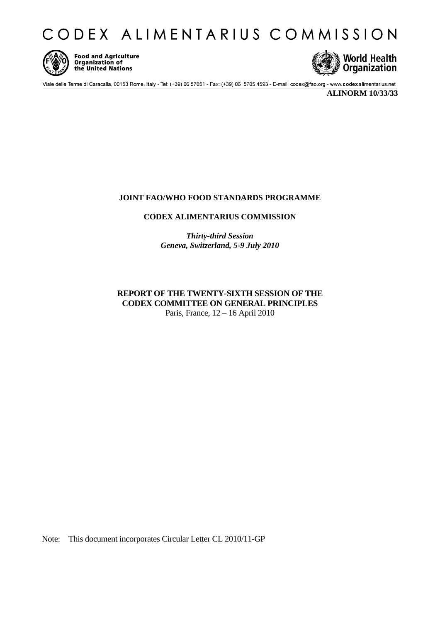CODEX ALIMENTARIUS COMMISSION



**Food and Agriculture Organization of** the United Nations



Viale delle Terme di Caracalla, 00153 Rome, Italy - Tel: (+39) 06 57051 - Fax: (+39) 06 5705 4593 - E-mail: codex@fao.org - www.codexalimentarius.net

**ALINORM 10/33/33** 

## **JOINT FAO/WHO FOOD STANDARDS PROGRAMME**

**CODEX ALIMENTARIUS COMMISSION** 

*Thirty-third Session Geneva, Switzerland, 5-9 July 2010* 

## **REPORT OF THE TWENTY-SIXTH SESSION OF THE CODEX COMMITTEE ON GENERAL PRINCIPLES**  Paris, France, 12 – 16 April 2010

Note: This document incorporates Circular Letter CL 2010/11-GP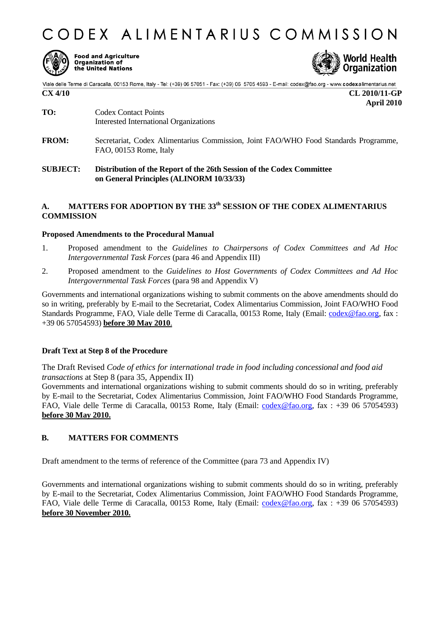



**Food and Agriculture Organization of** the United Nations



Viale delle Terme di Caracalla, 00153 Rome, Italy - Tel: (+39) 06 57051 - Fax: (+39) 06 5705 4593 - E-mail: codex@fao.org - www.codexalimentarius.net<br>**CX 4/10** CL 2010/11-GP

 **April 2010** 

- **TO:** Codex Contact Points Interested International Organizations
- **FROM:** Secretariat, Codex Alimentarius Commission, Joint FAO/WHO Food Standards Programme, FAO, 00153 Rome, Italy
- **SUBJECT: Distribution of the Report of the 26th Session of the Codex Committee on General Principles (ALINORM 10/33/33)**

## A. MATTERS FOR ADOPTION BY THE 33<sup>th</sup> SESSION OF THE CODEX ALIMENTARIUS **COMMISSION**

### **Proposed Amendments to the Procedural Manual**

- 1. Proposed amendment to the *Guidelines to Chairpersons of Codex Committees and Ad Hoc Intergovernmental Task Forces* (para 46 and Appendix III)
- 2. Proposed amendment to the *Guidelines to Host Governments of Codex Committees and Ad Hoc Intergovernmental Task Forces* (para 98 and Appendix V)

Governments and international organizations wishing to submit comments on the above amendments should do so in writing, preferably by E-mail to the Secretariat, Codex Alimentarius Commission, Joint FAO/WHO Food Standards Programme, FAO, Viale delle Terme di Caracalla, 00153 Rome, Italy (Email: codex@fao.org, fax : +39 06 57054593) **before 30 May 2010**.

### **Draft Text at Step 8 of the Procedure**

The Draft Revised *Code of ethics for international trade in food including concessional and food aid transactions* at Step 8 (para 35, Appendix II)

Governments and international organizations wishing to submit comments should do so in writing, preferably by E-mail to the Secretariat, Codex Alimentarius Commission, Joint FAO/WHO Food Standards Programme, FAO, Viale delle Terme di Caracalla, 00153 Rome, Italy (Email: codex@fao.org, fax : +39 06 57054593) **before 30 May 2010.**

### **B. MATTERS FOR COMMENTS**

Draft amendment to the terms of reference of the Committee (para 73 and Appendix IV)

Governments and international organizations wishing to submit comments should do so in writing, preferably by E-mail to the Secretariat, Codex Alimentarius Commission, Joint FAO/WHO Food Standards Programme, FAO, Viale delle Terme di Caracalla, 00153 Rome, Italy (Email: codex@fao.org, fax : +39 06 57054593) **before 30 November 2010.**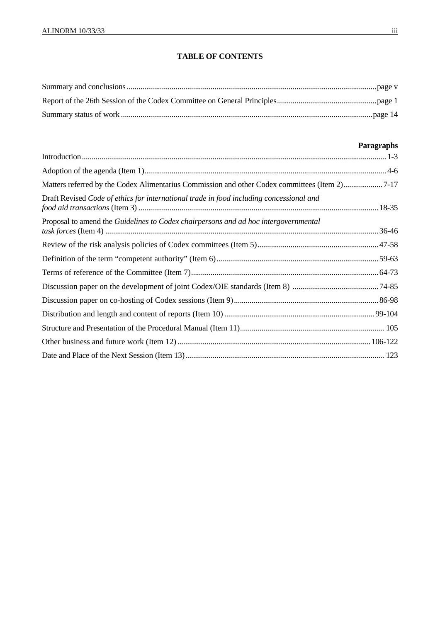# **TABLE OF CONTENTS**

# **Paragraphs**

| Matters referred by the Codex Alimentarius Commission and other Codex committees (Item 2)7-17 |  |
|-----------------------------------------------------------------------------------------------|--|
| Draft Revised Code of ethics for international trade in food including concessional and       |  |
| Proposal to amend the Guidelines to Codex chairpersons and ad hoc intergovernmental           |  |
|                                                                                               |  |
|                                                                                               |  |
|                                                                                               |  |
|                                                                                               |  |
|                                                                                               |  |
|                                                                                               |  |
|                                                                                               |  |
|                                                                                               |  |
|                                                                                               |  |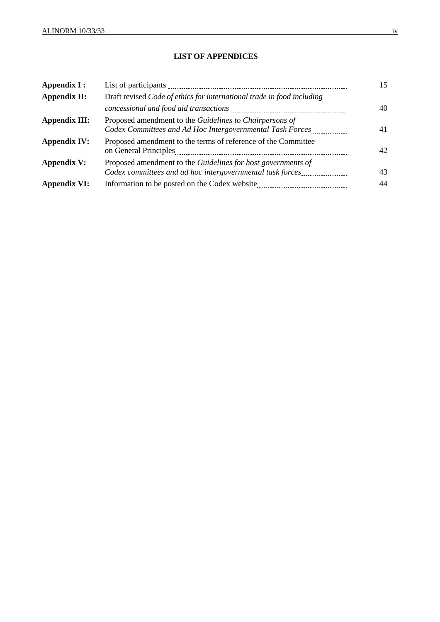## **LIST OF APPENDICES**

| Appendix I:         |                                                                                                                           | 15 |
|---------------------|---------------------------------------------------------------------------------------------------------------------------|----|
| Appendix II:        | Draft revised Code of ethics for international trade in food including                                                    |    |
|                     |                                                                                                                           | 40 |
| Appendix III:       | Proposed amendment to the Guidelines to Chairpersons of<br>Codex Committees and Ad Hoc Intergovernmental Task Forces      | 41 |
| <b>Appendix IV:</b> | Proposed amendment to the terms of reference of the Committee                                                             | 42 |
| <b>Appendix V:</b>  | Proposed amendment to the Guidelines for host governments of<br>Codex committees and ad hoc intergovernmental task forces | 43 |
| <b>Appendix VI:</b> | Information to be posted on the Codex website.                                                                            | 44 |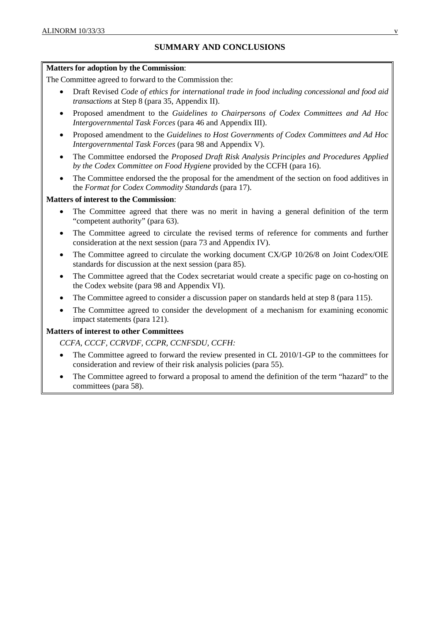# **SUMMARY AND CONCLUSIONS**

#### **Matters for adoption by the Commission**:

The Committee agreed to forward to the Commission the:

- Draft Revised *Code of ethics for international trade in food including concessional and food aid transactions* at Step 8 (para 35, Appendix II).
- Proposed amendment to the *Guidelines to Chairpersons of Codex Committees and Ad Hoc Intergovernmental Task Forces* (para 46 and Appendix III).
- Proposed amendment to the *Guidelines to Host Governments of Codex Committees and Ad Hoc Intergovernmental Task Forces* (para 98 and Appendix V).
- The Committee endorsed the *Proposed Draft Risk Analysis Principles and Procedures Applied by the Codex Committee on Food Hygiene* provided by the CCFH (para 16).
- The Committee endorsed the the proposal for the amendment of the section on food additives in the *Format for Codex Commodity Standards* (para 17).

#### **Matters of interest to the Commission**:

- The Committee agreed that there was no merit in having a general definition of the term "competent authority" (para 63).
- The Committee agreed to circulate the revised terms of reference for comments and further consideration at the next session (para 73 and Appendix IV).
- The Committee agreed to circulate the working document CX/GP 10/26/8 on Joint Codex/OIE standards for discussion at the next session (para 85).
- The Committee agreed that the Codex secretariat would create a specific page on co-hosting on the Codex website (para 98 and Appendix VI).
- The Committee agreed to consider a discussion paper on standards held at step 8 (para 115).
- The Committee agreed to consider the development of a mechanism for examining economic impact statements (para 121).

### **Matters of interest to other Committees**

*CCFA, CCCF, CCRVDF, CCPR, CCNFSDU, CCFH:* 

- The Committee agreed to forward the review presented in CL 2010/1-GP to the committees for consideration and review of their risk analysis policies (para 55).
- The Committee agreed to forward a proposal to amend the definition of the term "hazard" to the committees (para 58).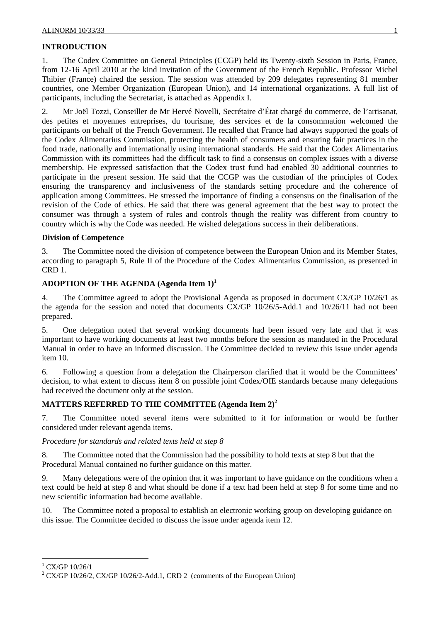# **INTRODUCTION**

1. The Codex Committee on General Principles (CCGP) held its Twenty-sixth Session in Paris, France, from 12-16 April 2010 at the kind invitation of the Government of the French Republic. Professor Michel Thibier (France) chaired the session. The session was attended by 209 delegates representing 81 member countries, one Member Organization (European Union), and 14 international organizations. A full list of participants, including the Secretariat, is attached as Appendix I.

2. Mr Joël Tozzi, Conseiller de Mr Hervé Novelli, Secrétaire d'État chargé du commerce, de l'artisanat, des petites et moyennes entreprises, du tourisme, des services et de la consommation welcomed the participants on behalf of the French Government. He recalled that France had always supported the goals of the Codex Alimentarius Commission, protecting the health of consumers and ensuring fair practices in the food trade, nationally and internationally using international standards. He said that the Codex Alimentarius Commission with its committees had the difficult task to find a consensus on complex issues with a diverse membership. He expressed satisfaction that the Codex trust fund had enabled 30 additional countries to participate in the present session. He said that the CCGP was the custodian of the principles of Codex ensuring the transparency and inclusiveness of the standards setting procedure and the coherence of application among Committees. He stressed the importance of finding a consensus on the finalisation of the revision of the Code of ethics. He said that there was general agreement that the best way to protect the consumer was through a system of rules and controls though the reality was different from country to country which is why the Code was needed. He wished delegations success in their deliberations.

### **Division of Competence**

3. The Committee noted the division of competence between the European Union and its Member States, according to paragraph 5, Rule II of the Procedure of the Codex Alimentarius Commission, as presented in CRD 1.

## **ADOPTION OF THE AGENDA (Agenda Item 1)<sup>1</sup>**

4. The Committee agreed to adopt the Provisional Agenda as proposed in document CX/GP 10/26/1 as the agenda for the session and noted that documents CX/GP 10/26/5-Add.1 and 10/26/11 had not been prepared.

5. One delegation noted that several working documents had been issued very late and that it was important to have working documents at least two months before the session as mandated in the Procedural Manual in order to have an informed discussion. The Committee decided to review this issue under agenda item 10.

6. Following a question from a delegation the Chairperson clarified that it would be the Committees' decision, to what extent to discuss item 8 on possible joint Codex/OIE standards because many delegations had received the document only at the session.

# **MATTERS REFERRED TO THE COMMITTEE (Agenda Item 2)<sup>2</sup>**

7. The Committee noted several items were submitted to it for information or would be further considered under relevant agenda items.

## *Procedure for standards and related texts held at step 8*

8. The Committee noted that the Commission had the possibility to hold texts at step 8 but that the Procedural Manual contained no further guidance on this matter.

9. Many delegations were of the opinion that it was important to have guidance on the conditions when a text could be held at step 8 and what should be done if a text had been held at step 8 for some time and no new scientific information had become available.

10. The Committee noted a proposal to establish an electronic working group on developing guidance on this issue. The Committee decided to discuss the issue under agenda item 12.

 $^{1}$  CX/GP 10/26/1

 $2^2$  CX/GP 10/26/2, CX/GP 10/26/2-Add.1, CRD 2 (comments of the European Union)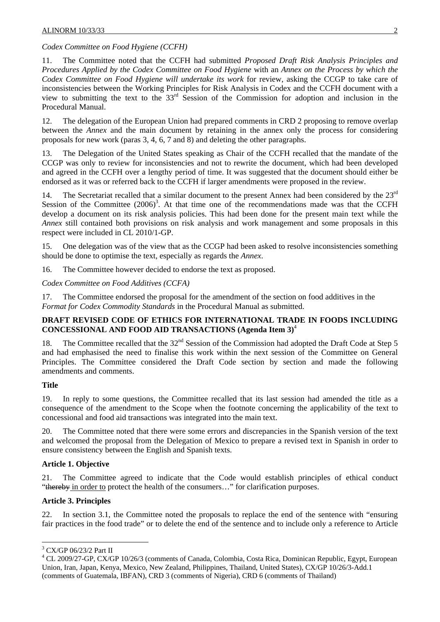### *Codex Committee on Food Hygiene (CCFH)*

11. The Committee noted that the CCFH had submitted *Proposed Draft Risk Analysis Principles and Procedures Applied by the Codex Committee on Food Hygiene* with an *Annex on the Process by which the Codex Committee on Food Hygiene will undertake its work* for review, asking the CCGP to take care of inconsistencies between the Working Principles for Risk Analysis in Codex and the CCFH document with a view to submitting the text to the 33rd Session of the Commission for adoption and inclusion in the Procedural Manual.

12. The delegation of the European Union had prepared comments in CRD 2 proposing to remove overlap between the *Annex* and the main document by retaining in the annex only the process for considering proposals for new work (paras 3, 4, 6, 7 and 8) and deleting the other paragraphs.

13. The Delegation of the United States speaking as Chair of the CCFH recalled that the mandate of the CCGP was only to review for inconsistencies and not to rewrite the document, which had been developed and agreed in the CCFH over a lengthy period of time. It was suggested that the document should either be endorsed as it was or referred back to the CCFH if larger amendments were proposed in the review.

14. The Secretariat recalled that a similar document to the present Annex had been considered by the  $23<sup>rd</sup>$ Session of the Committee  $(2006)^3$ . At that time one of the recommendations made was that the CCFH develop a document on its risk analysis policies. This had been done for the present main text while the *Annex* still contained both provisions on risk analysis and work management and some proposals in this respect were included in CL 2010/1-GP.

15. One delegation was of the view that as the CCGP had been asked to resolve inconsistencies something should be done to optimise the text, especially as regards the *Annex*.

16. The Committee however decided to endorse the text as proposed.

*Codex Committee on Food Additives (CCFA)* 

17. The Committee endorsed the proposal for the amendment of the section on food additives in the *Format for Codex Commodity Standards* in the Procedural Manual as submitted.

### **DRAFT REVISED CODE OF ETHICS FOR INTERNATIONAL TRADE IN FOODS INCLUDING CONCESSIONAL AND FOOD AID TRANSACTIONS (Agenda Item 3)**<sup>4</sup>

18. The Committee recalled that the 32<sup>nd</sup> Session of the Commission had adopted the Draft Code at Step 5 and had emphasised the need to finalise this work within the next session of the Committee on General Principles. The Committee considered the Draft Code section by section and made the following amendments and comments.

### **Title**

19. In reply to some questions, the Committee recalled that its last session had amended the title as a consequence of the amendment to the Scope when the footnote concerning the applicability of the text to concessional and food aid transactions was integrated into the main text.

20. The Committee noted that there were some errors and discrepancies in the Spanish version of the text and welcomed the proposal from the Delegation of Mexico to prepare a revised text in Spanish in order to ensure consistency between the English and Spanish texts.

### **Article 1. Objective**

21. The Committee agreed to indicate that the Code would establish principles of ethical conduct "thereby in order to protect the health of the consumers…" for clarification purposes.

## **Article 3. Principles**

22. In section 3.1, the Committee noted the proposals to replace the end of the sentence with "ensuring fair practices in the food trade" or to delete the end of the sentence and to include only a reference to Article

l <sup>3</sup> CX/GP 06/23/2 Part II

<sup>&</sup>lt;sup>4</sup> CL 2009/27-GP, CX/GP 10/26/3 (comments of Canada, Colombia, Costa Rica, Dominican Republic, Egypt, European Union, Iran, Japan, Kenya, Mexico, New Zealand, Philippines, Thailand, United States), CX/GP 10/26/3-Add.1 (comments of Guatemala, IBFAN), CRD 3 (comments of Nigeria), CRD 6 (comments of Thailand)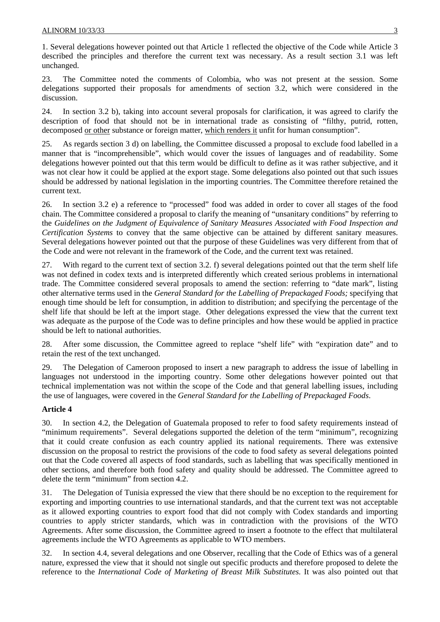1. Several delegations however pointed out that Article 1 reflected the objective of the Code while Article 3 described the principles and therefore the current text was necessary. As a result section 3.1 was left unchanged.

23. The Committee noted the comments of Colombia, who was not present at the session. Some delegations supported their proposals for amendments of section 3.2, which were considered in the discussion.

24. In section 3.2 b), taking into account several proposals for clarification, it was agreed to clarify the description of food that should not be in international trade as consisting of "filthy, putrid, rotten, decomposed or other substance or foreign matter, which renders it unfit for human consumption".

25. As regards section 3 d) on labelling, the Committee discussed a proposal to exclude food labelled in a manner that is "incomprehensible", which would cover the issues of languages and of readability. Some delegations however pointed out that this term would be difficult to define as it was rather subjective, and it was not clear how it could be applied at the export stage. Some delegations also pointed out that such issues should be addressed by national legislation in the importing countries. The Committee therefore retained the current text.

26. In section 3.2 e) a reference to "processed" food was added in order to cover all stages of the food chain. The Committee considered a proposal to clarify the meaning of "unsanitary conditions" by referring to the *Guidelines on the Judgment of Equivalence of Sanitary Measures Associated with Food Inspection and Certification Systems* to convey that the same objective can be attained by different sanitary measures. Several delegations however pointed out that the purpose of these Guidelines was very different from that of the Code and were not relevant in the framework of the Code, and the current text was retained.

27. With regard to the current text of section 3.2. f) several delegations pointed out that the term shelf life was not defined in codex texts and is interpreted differently which created serious problems in international trade. The Committee considered several proposals to amend the section: referring to "date mark", listing other alternative terms used in the *General Standard for the Labelling of Prepackaged Foods;* specifying that enough time should be left for consumption, in addition to distribution; and specifying the percentage of the shelf life that should be left at the import stage. Other delegations expressed the view that the current text was adequate as the purpose of the Code was to define principles and how these would be applied in practice should be left to national authorities.

28. After some discussion, the Committee agreed to replace "shelf life" with "expiration date" and to retain the rest of the text unchanged.

29. The Delegation of Cameroon proposed to insert a new paragraph to address the issue of labelling in languages not understood in the importing country. Some other delegations however pointed out that technical implementation was not within the scope of the Code and that general labelling issues, including the use of languages, were covered in the *General Standard for the Labelling of Prepackaged Foods*.

### **Article 4**

30. In section 4.2, the Delegation of Guatemala proposed to refer to food safety requirements instead of "minimum requirements". Several delegations supported the deletion of the term "minimum", recognizing that it could create confusion as each country applied its national requirements. There was extensive discussion on the proposal to restrict the provisions of the code to food safety as several delegations pointed out that the Code covered all aspects of food standards, such as labelling that was specifically mentioned in other sections, and therefore both food safety and quality should be addressed. The Committee agreed to delete the term "minimum" from section 4.2.

31. The Delegation of Tunisia expressed the view that there should be no exception to the requirement for exporting and importing countries to use international standards, and that the current text was not acceptable as it allowed exporting countries to export food that did not comply with Codex standards and importing countries to apply stricter standards, which was in contradiction with the provisions of the WTO Agreements. After some discussion, the Committee agreed to insert a footnote to the effect that multilateral agreements include the WTO Agreements as applicable to WTO members.

32. In section 4.4, several delegations and one Observer, recalling that the Code of Ethics was of a general nature, expressed the view that it should not single out specific products and therefore proposed to delete the reference to the *International Code of Marketing of Breast Milk Substitutes*. It was also pointed out that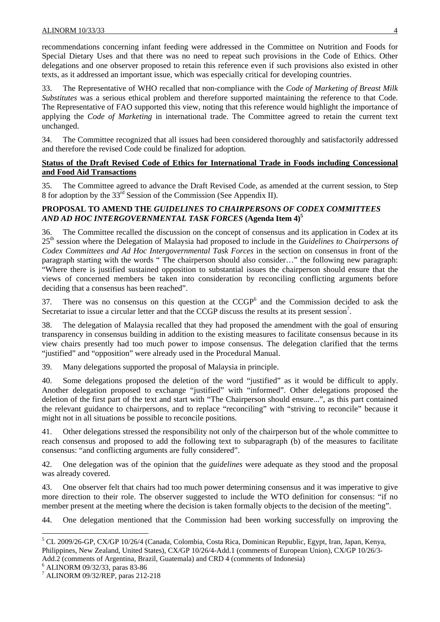recommendations concerning infant feeding were addressed in the Committee on Nutrition and Foods for Special Dietary Uses and that there was no need to repeat such provisions in the Code of Ethics. Other delegations and one observer proposed to retain this reference even if such provisions also existed in other texts, as it addressed an important issue, which was especially critical for developing countries.

33. The Representative of WHO recalled that non-compliance with the *Code of Marketing of Breast Milk Substitutes* was a serious ethical problem and therefore supported maintaining the reference to that Code. The Representative of FAO supported this view, noting that this reference would highlight the importance of applying the *Code of Marketing* in international trade. The Committee agreed to retain the current text unchanged.

34. The Committee recognized that all issues had been considered thoroughly and satisfactorily addressed and therefore the revised Code could be finalized for adoption.

## **Status of the Draft Revised Code of Ethics for International Trade in Foods including Concessional and Food Aid Transactions**

35. The Committee agreed to advance the Draft Revised Code, as amended at the current session, to Step 8 for adoption by the 33rd Session of the Commission (See Appendix II).

# **PROPOSAL TO AMEND THE** *GUIDELINES TO CHAIRPERSONS OF CODEX COMMITTEES AND AD HOC INTERGOVERNMENTAL TASK FORCES* **(Agenda Item 4)5**

36. The Committee recalled the discussion on the concept of consensus and its application in Codex at its 25th session where the Delegation of Malaysia had proposed to include in the *Guidelines to Chairpersons of Codex Committees and Ad Hoc Intergovernmental Task Forces* in the section on consensus in front of the paragraph starting with the words " The chairperson should also consider…" the following new paragraph: "Where there is justified sustained opposition to substantial issues the chairperson should ensure that the views of concerned members be taken into consideration by reconciling conflicting arguments before deciding that a consensus has been reached".

37. There was no consensus on this question at the CCGP<sup>6</sup> and the Commission decided to ask the Secretariat to issue a circular letter and that the CCGP discuss the results at its present session<sup>7</sup>.

38. The delegation of Malaysia recalled that they had proposed the amendment with the goal of ensuring transparency in consensus building in addition to the existing measures to facilitate consensus because in its view chairs presently had too much power to impose consensus. The delegation clarified that the terms "justified" and "opposition" were already used in the Procedural Manual.

39. Many delegations supported the proposal of Malaysia in principle.

40. Some delegations proposed the deletion of the word "justified" as it would be difficult to apply. Another delegation proposed to exchange "justified" with "informed". Other delegations proposed the deletion of the first part of the text and start with "The Chairperson should ensure...", as this part contained the relevant guidance to chairpersons, and to replace "reconciling" with "striving to reconcile" because it might not in all situations be possible to reconcile positions.

41. Other delegations stressed the responsibility not only of the chairperson but of the whole committee to reach consensus and proposed to add the following text to subparagraph (b) of the measures to facilitate consensus: "and conflicting arguments are fully considered".

42. One delegation was of the opinion that the *guidelines* were adequate as they stood and the proposal was already covered.

43. One observer felt that chairs had too much power determining consensus and it was imperative to give more direction to their role. The observer suggested to include the WTO definition for consensus: "if no member present at the meeting where the decision is taken formally objects to the decision of the meeting".

44. One delegation mentioned that the Commission had been working successfully on improving the

6 ALINORM 09/32/33, paras 83-86

<sup>&</sup>lt;sup>5</sup> CL 2009/26-GP, CX/GP 10/26/4 (Canada, Colombia, Costa Rica, Dominican Republic, Egypt, Iran, Japan, Kenya, Philippines, New Zealand, United States), CX/GP 10/26/4-Add.1 (comments of European Union), CX/GP 10/26/3- Add.2 (comments of Argentina, Brazil, Guatemala) and CRD 4 (comments of Indonesia)

<sup>7</sup> ALINORM 09/32/REP, paras 212-218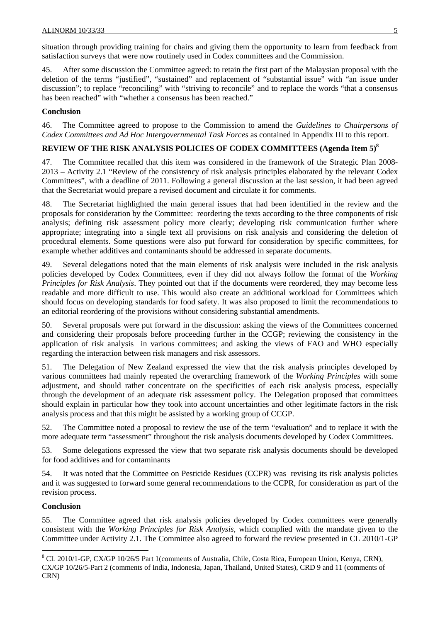situation through providing training for chairs and giving them the opportunity to learn from feedback from satisfaction surveys that were now routinely used in Codex committees and the Commission.

45. After some discussion the Committee agreed: to retain the first part of the Malaysian proposal with the deletion of the terms "justified", "sustained" and replacement of "substantial issue" with "an issue under discussion"; to replace "reconciling" with "striving to reconcile" and to replace the words "that a consensus has been reached" with "whether a consensus has been reached."

## **Conclusion**

46. The Committee agreed to propose to the Commission to amend the *Guidelines to Chairpersons of Codex Committees and Ad Hoc Intergovernmental Task Forces* as contained in Appendix III to this report.

## **REVIEW OF THE RISK ANALYSIS POLICIES OF CODEX COMMITTEES (Agenda Item 5)<sup>8</sup>**

47. The Committee recalled that this item was considered in the framework of the Strategic Plan 2008- 2013 – Activity 2.1 "Review of the consistency of risk analysis principles elaborated by the relevant Codex Committees", with a deadline of 2011. Following a general discussion at the last session, it had been agreed that the Secretariat would prepare a revised document and circulate it for comments.

48. The Secretariat highlighted the main general issues that had been identified in the review and the proposals for consideration by the Committee: reordering the texts according to the three components of risk analysis; defining risk assessment policy more clearly; developing risk communication further where appropriate; integrating into a single text all provisions on risk analysis and considering the deletion of procedural elements. Some questions were also put forward for consideration by specific committees, for example whether additives and contaminants should be addressed in separate documents.

49. Several delegations noted that the main elements of risk analysis were included in the risk analysis policies developed by Codex Committees, even if they did not always follow the format of the *Working Principles for Risk Analysis*. They pointed out that if the documents were reordered, they may become less readable and more difficult to use. This would also create an additional workload for Committees which should focus on developing standards for food safety. It was also proposed to limit the recommendations to an editorial reordering of the provisions without considering substantial amendments.

50. Several proposals were put forward in the discussion: asking the views of the Committees concerned and considering their proposals before proceeding further in the CCGP; reviewing the consistency in the application of risk analysis in various committees; and asking the views of FAO and WHO especially regarding the interaction between risk managers and risk assessors.

51. The Delegation of New Zealand expressed the view that the risk analysis principles developed by various committees had mainly repeated the overarching framework of the *Working Principles* with some adjustment, and should rather concentrate on the specificities of each risk analysis process, especially through the development of an adequate risk assessment policy. The Delegation proposed that committees should explain in particular how they took into account uncertainties and other legitimate factors in the risk analysis process and that this might be assisted by a working group of CCGP.

52. The Committee noted a proposal to review the use of the term "evaluation" and to replace it with the more adequate term "assessment" throughout the risk analysis documents developed by Codex Committees.

53. Some delegations expressed the view that two separate risk analysis documents should be developed for food additives and for contaminants

54. It was noted that the Committee on Pesticide Residues (CCPR) was revising its risk analysis policies and it was suggested to forward some general recommendations to the CCPR, for consideration as part of the revision process.

### **Conclusion**

55. The Committee agreed that risk analysis policies developed by Codex committees were generally consistent with the *Working Principles for Risk Analysis*, which complied with the mandate given to the Committee under Activity 2.1. The Committee also agreed to forward the review presented in CL 2010/1-GP

<sup>&</sup>lt;sup>8</sup> CL 2010/1-GP, CX/GP 10/26/5 Part 1(comments of Australia, Chile, Costa Rica, European Union, Kenya, CRN), CX/GP 10/26/5-Part 2 (comments of India, Indonesia, Japan, Thailand, United States), CRD 9 and 11 (comments of CRN)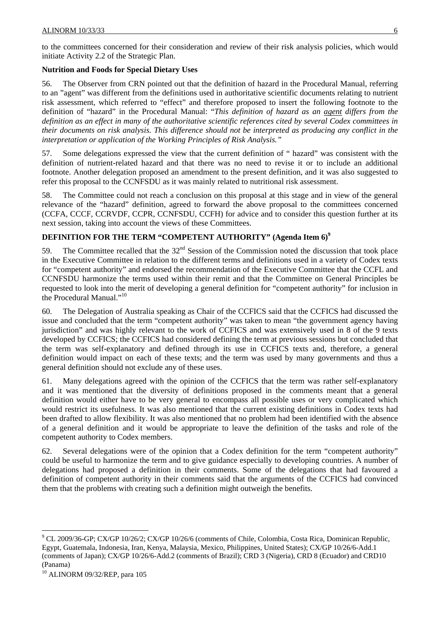to the committees concerned for their consideration and review of their risk analysis policies, which would initiate Activity 2.2 of the Strategic Plan.

## **Nutrition and Foods for Special Dietary Uses**

56. The Observer from CRN pointed out that the definition of hazard in the Procedural Manual, referring to an "agent" was different from the definitions used in authoritative scientific documents relating to nutrient risk assessment, which referred to "effect" and therefore proposed to insert the following footnote to the definition of "hazard" in the Procedural Manual: "*This definition of hazard as an agent differs from the definition as an effect in many of the authoritative scientific references cited by several Codex committees in their documents on risk analysis. This difference should not be interpreted as producing any conflict in the interpretation or application of the Working Principles of Risk Analysis."*

57. Some delegations expressed the view that the current definition of " hazard" was consistent with the definition of nutrient-related hazard and that there was no need to revise it or to include an additional footnote. Another delegation proposed an amendment to the present definition, and it was also suggested to refer this proposal to the CCNFSDU as it was mainly related to nutritional risk assessment.

58. The Committee could not reach a conclusion on this proposal at this stage and in view of the general relevance of the "hazard" definition, agreed to forward the above proposal to the committees concerned (CCFA, CCCF, CCRVDF, CCPR, CCNFSDU, CCFH) for advice and to consider this question further at its next session, taking into account the views of these Committees.

# **DEFINITION FOR THE TERM "COMPETENT AUTHORITY" (Agenda Item 6)<sup>9</sup>**

59. The Committee recalled that the  $32<sup>nd</sup>$  Session of the Commission noted the discussion that took place in the Executive Committee in relation to the different terms and definitions used in a variety of Codex texts for "competent authority" and endorsed the recommendation of the Executive Committee that the CCFL and CCNFSDU harmonize the terms used within their remit and that the Committee on General Principles be requested to look into the merit of developing a general definition for "competent authority" for inclusion in the Procedural Manual."10

60. The Delegation of Australia speaking as Chair of the CCFICS said that the CCFICS had discussed the issue and concluded that the term "competent authority" was taken to mean "the government agency having jurisdiction" and was highly relevant to the work of CCFICS and was extensively used in 8 of the 9 texts developed by CCFICS; the CCFICS had considered defining the term at previous sessions but concluded that the term was self-explanatory and defined through its use in CCFICS texts and, therefore, a general definition would impact on each of these texts; and the term was used by many governments and thus a general definition should not exclude any of these uses.

61. Many delegations agreed with the opinion of the CCFICS that the term was rather self-explanatory and it was mentioned that the diversity of definitions proposed in the comments meant that a general definition would either have to be very general to encompass all possible uses or very complicated which would restrict its usefulness. It was also mentioned that the current existing definitions in Codex texts had been drafted to allow flexibility. It was also mentioned that no problem had been identified with the absence of a general definition and it would be appropriate to leave the definition of the tasks and role of the competent authority to Codex members.

62. Several delegations were of the opinion that a Codex definition for the term "competent authority" could be useful to harmonize the term and to give guidance especially to developing countries. A number of delegations had proposed a definition in their comments. Some of the delegations that had favoured a definition of competent authority in their comments said that the arguments of the CCFICS had convinced them that the problems with creating such a definition might outweigh the benefits.

<sup>&</sup>lt;sup>9</sup> CL 2009/36-GP; CX/GP 10/26/2; CX/GP 10/26/6 (comments of Chile, Colombia, Costa Rica, Dominican Republic, Egypt, Guatemala, Indonesia, Iran, Kenya, Malaysia, Mexico, Philippines, United States); CX/GP 10/26/6-Add.1 (comments of Japan); CX/GP 10/26/6-Add.2 (comments of Brazil); CRD 3 (Nigeria), CRD 8 (Ecuador) and CRD10 (Panama)

<sup>10</sup> ALINORM 09/32/REP, para 105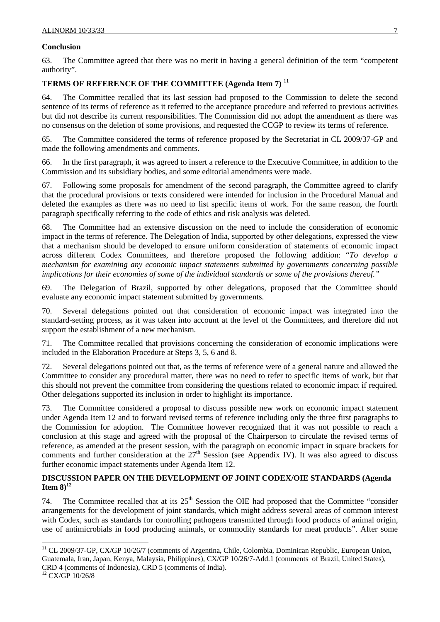### **Conclusion**

63. The Committee agreed that there was no merit in having a general definition of the term "competent authority".

# **TERMS OF REFERENCE OF THE COMMITTEE (Agenda Item 7)** <sup>11</sup>

The Committee recalled that its last session had proposed to the Commission to delete the second sentence of its terms of reference as it referred to the acceptance procedure and referred to previous activities but did not describe its current responsibilities. The Commission did not adopt the amendment as there was no consensus on the deletion of some provisions, and requested the CCGP to review its terms of reference.

65. The Committee considered the terms of reference proposed by the Secretariat in CL 2009/37-GP and made the following amendments and comments.

66. In the first paragraph, it was agreed to insert a reference to the Executive Committee, in addition to the Commission and its subsidiary bodies, and some editorial amendments were made.

67. Following some proposals for amendment of the second paragraph, the Committee agreed to clarify that the procedural provisions or texts considered were intended for inclusion in the Procedural Manual and deleted the examples as there was no need to list specific items of work. For the same reason, the fourth paragraph specifically referring to the code of ethics and risk analysis was deleted.

68. The Committee had an extensive discussion on the need to include the consideration of economic impact in the terms of reference. The Delegation of India, supported by other delegations, expressed the view that a mechanism should be developed to ensure uniform consideration of statements of economic impact across different Codex Committees, and therefore proposed the following addition: "*To develop a mechanism for examining any economic impact statements submitted by governments concerning possible implications for their economies of some of the individual standards or some of the provisions thereof."*

69. The Delegation of Brazil, supported by other delegations, proposed that the Committee should evaluate any economic impact statement submitted by governments.

70. Several delegations pointed out that consideration of economic impact was integrated into the standard-setting process, as it was taken into account at the level of the Committees, and therefore did not support the establishment of a new mechanism.

71. The Committee recalled that provisions concerning the consideration of economic implications were included in the Elaboration Procedure at Steps 3, 5, 6 and 8.

72. Several delegations pointed out that, as the terms of reference were of a general nature and allowed the Committee to consider any procedural matter, there was no need to refer to specific items of work, but that this should not prevent the committee from considering the questions related to economic impact if required. Other delegations supported its inclusion in order to highlight its importance.

73. The Committee considered a proposal to discuss possible new work on economic impact statement under Agenda Item 12 and to forward revised terms of reference including only the three first paragraphs to the Commission for adoption. The Committee however recognized that it was not possible to reach a conclusion at this stage and agreed with the proposal of the Chairperson to circulate the revised terms of reference, as amended at the present session, with the paragraph on economic impact in square brackets for comments and further consideration at the  $27<sup>th</sup>$  Session (see Appendix IV). It was also agreed to discuss further economic impact statements under Agenda Item 12.

## **DISCUSSION PAPER ON THE DEVELOPMENT OF JOINT CODEX/OIE STANDARDS (Agenda Item 8** $^{12}$

74. The Committee recalled that at its  $25<sup>th</sup>$  Session the OIE had proposed that the Committee "consider" arrangements for the development of joint standards, which might address several areas of common interest with Codex, such as standards for controlling pathogens transmitted through food products of animal origin, use of antimicrobials in food producing animals, or commodity standards for meat products". After some

l

<sup>&</sup>lt;sup>11</sup> CL 2009/37-GP, CX/GP 10/26/7 (comments of Argentina, Chile, Colombia, Dominican Republic, European Union, Guatemala, Iran, Japan, Kenya, Malaysia, Philippines), CX/GP 10/26/7-Add.1 (comments of Brazil, United States), CRD 4 (comments of Indonesia), CRD 5 (comments of India).

<sup>12</sup> CX/GP 10/26/8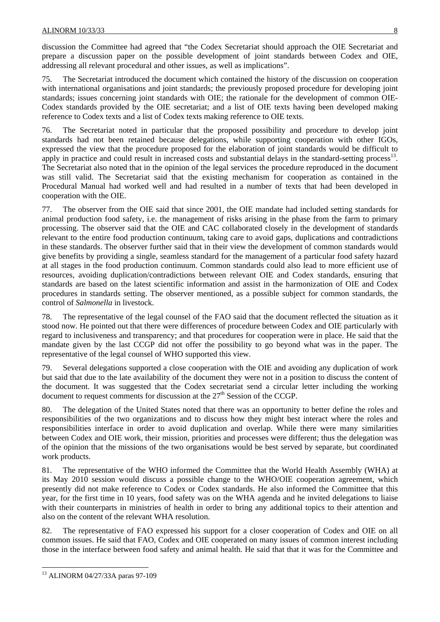discussion the Committee had agreed that "the Codex Secretariat should approach the OIE Secretariat and prepare a discussion paper on the possible development of joint standards between Codex and OIE, addressing all relevant procedural and other issues, as well as implications".

75. The Secretariat introduced the document which contained the history of the discussion on cooperation with international organisations and joint standards; the previously proposed procedure for developing joint standards; issues concerning joint standards with OIE; the rationale for the development of common OIE-Codex standards provided by the OIE secretariat; and a list of OIE texts having been developed making reference to Codex texts and a list of Codex texts making reference to OIE texts.

76. The Secretariat noted in particular that the proposed possibility and procedure to develop joint standards had not been retained because delegations, while supporting cooperation with other IGOs, expressed the view that the procedure proposed for the elaboration of joint standards would be difficult to apply in practice and could result in increased costs and substantial delays in the standard-setting process<sup>13</sup>. The Secretariat also noted that in the opinion of the legal services the procedure reproduced in the document was still valid. The Secretariat said that the existing mechanism for cooperation as contained in the Procedural Manual had worked well and had resulted in a number of texts that had been developed in cooperation with the OIE.

77. The observer from the OIE said that since 2001, the OIE mandate had included setting standards for animal production food safety, i.e. the management of risks arising in the phase from the farm to primary processing. The observer said that the OIE and CAC collaborated closely in the development of standards relevant to the entire food production continuum, taking care to avoid gaps, duplications and contradictions in these standards. The observer further said that in their view the development of common standards would give benefits by providing a single, seamless standard for the management of a particular food safety hazard at all stages in the food production continuum. Common standards could also lead to more efficient use of resources, avoiding duplication/contradictions between relevant OIE and Codex standards, ensuring that standards are based on the latest scientific information and assist in the harmonization of OIE and Codex procedures in standards setting. The observer mentioned, as a possible subject for common standards, the control of *Salmonella* in livestock.

78. The representative of the legal counsel of the FAO said that the document reflected the situation as it stood now. He pointed out that there were differences of procedure between Codex and OIE particularly with regard to inclusiveness and transparency; and that procedures for cooperation were in place. He said that the mandate given by the last CCGP did not offer the possibility to go beyond what was in the paper. The representative of the legal counsel of WHO supported this view.

79. Several delegations supported a close cooperation with the OIE and avoiding any duplication of work but said that due to the late availability of the document they were not in a position to discuss the content of the document. It was suggested that the Codex secretariat send a circular letter including the working document to request comments for discussion at the  $27<sup>th</sup>$  Session of the CCGP.

80. The delegation of the United States noted that there was an opportunity to better define the roles and responsibilities of the two organizations and to discuss how they might best interact where the roles and responsibilities interface in order to avoid duplication and overlap. While there were many similarities between Codex and OIE work, their mission, priorities and processes were different; thus the delegation was of the opinion that the missions of the two organisations would be best served by separate, but coordinated work products.

81. The representative of the WHO informed the Committee that the World Health Assembly (WHA) at its May 2010 session would discuss a possible change to the WHO/OIE cooperation agreement, which presently did not make reference to Codex or Codex standards. He also informed the Committee that this year, for the first time in 10 years, food safety was on the WHA agenda and he invited delegations to liaise with their counterparts in ministries of health in order to bring any additional topics to their attention and also on the content of the relevant WHA resolution.

82. The representative of FAO expressed his support for a closer cooperation of Codex and OIE on all common issues. He said that FAO, Codex and OIE cooperated on many issues of common interest including those in the interface between food safety and animal health. He said that that it was for the Committee and

l 13 ALINORM 04/27/33A paras 97-109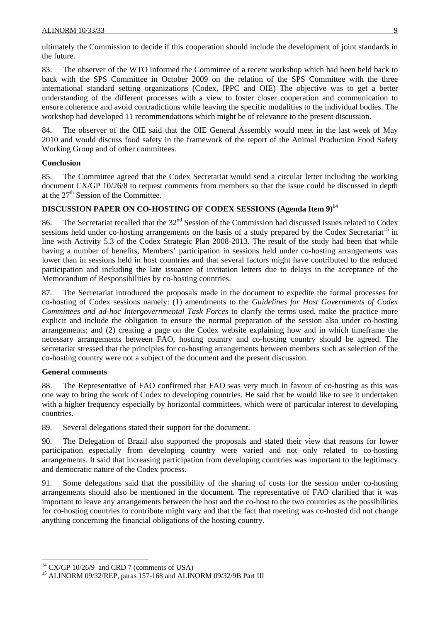ultimately the Commission to decide if this cooperation should include the development of joint standards in the future.

83. The observer of the WTO informed the Committee of a recent workshop which had been held back to back with the SPS Committee in October 2009 on the relation of the SPS Committee with the three international standard setting organizations (Codex, IPPC and OIE) The objective was to get a better understanding of the different processes with a view to foster closer cooperation and communication to ensure coherence and avoid contradictions while leaving the specific modalities to the individual bodies. The workshop had developed 11 recommendations which might be of relevance to the present discussion.

84. The observer of the OIE said that the OIE General Assembly would meet in the last week of May 2010 and would discuss food safety in the framework of the report of the Animal Production Food Safety Working Group and of other committees.

## **Conclusion**

85. The Committee agreed that the Codex Secretariat would send a circular letter including the working document CX/GP 10/26/8 to request comments from members so that the issue could be discussed in depth at the  $27<sup>th</sup>$  Session of the Committee.

# **DISCUSSION PAPER ON CO-HOSTING OF CODEX SESSIONS (Agenda Item 9)14**

86. The Secretariat recalled that the 32<sup>nd</sup> Session of the Commission had discussed issues related to Codex sessions held under co-hosting arrangements on the basis of a study prepared by the Codex Secretariat<sup>15</sup> in line with Activity 5.3 of the Codex Strategic Plan 2008-2013. The result of the study had been that while having a number of benefits, Members' participation in sessions held under co-hosting arrangements was lower than in sessions held in host countries and that several factors might have contributed to the reduced participation and including the late issuance of invitation letters due to delays in the acceptance of the Memorandum of Responsibilities by co-hosting countries.

87. The Secretariat introduced the proposals made in the document to expedite the formal processes for co-hosting of Codex sessions namely: (1) amendments to the *Guidelines for Host Governments of Codex Committees and ad-hoc Intergovernmental Task Forces* to clarify the terms used, make the practice more explicit and include the obligation to ensure the normal preparation of the session also under co-hosting arrangements; and (2) creating a page on the Codex website explaining how and in which timeframe the necessary arrangements between FAO, hosting country and co-hosting country should be agreed. The secretariat stressed that the principles for co-hosting arrangements between members such as selection of the co-hosting country were not a subject of the document and the present discussion.

### **General comments**

88. The Representative of FAO confirmed that FAO was very much in favour of co-hosting as this was one way to bring the work of Codex to developing countries. He said that he would like to see it undertaken with a higher frequency especially by horizontal committees, which were of particular interest to developing countries.

89. Several delegations stated their support for the document.

90. The Delegation of Brazil also supported the proposals and stated their view that reasons for lower participation especially from developing country were varied and not only related to co-hosting arrangements. It said that increasing participation from developing countries was important to the legitimacy and democratic nature of the Codex process.

91. Some delegations said that the possibility of the sharing of costs for the session under co-hosting arrangements should also be mentioned in the document. The representative of FAO clarified that it was important to leave any arrangements between the host and the co-host to the two countries as the possibilities for co-hosting countries to contribute might vary and that the fact that meeting was co-hosted did not change anything concerning the financial obligations of the hosting country.

 $14$  CX/GP 10/26/9 and CRD 7 (comments of USA)

<sup>&</sup>lt;sup>15</sup> ALINORM 09/32/REP, paras 157-168 and ALINORM 09/32/9B Part III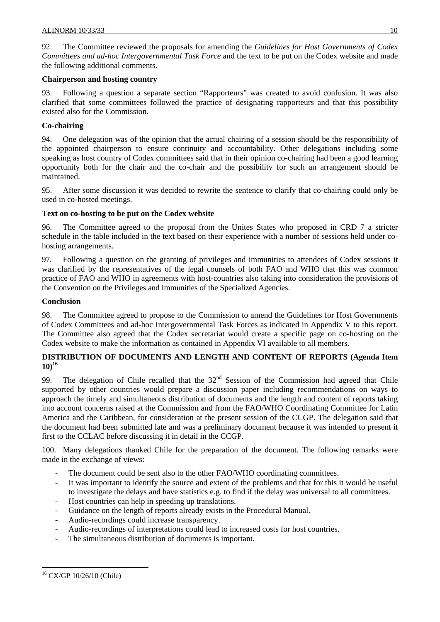92. The Committee reviewed the proposals for amending the *Guidelines for Host Governments of Codex Committees and ad-hoc Intergovernmental Task Force* and the text to be put on the Codex website and made the following additional comments.

## **Chairperson and hosting country**

Following a question a separate section "Rapporteurs" was created to avoid confusion. It was also clarified that some committees followed the practice of designating rapporteurs and that this possibility existed also for the Commission.

# **Co-chairing**

94. One delegation was of the opinion that the actual chairing of a session should be the responsibility of the appointed chairperson to ensure continuity and accountability. Other delegations including some speaking as host country of Codex committees said that in their opinion co-chairing had been a good learning opportunity both for the chair and the co-chair and the possibility for such an arrangement should be maintained.

95. After some discussion it was decided to rewrite the sentence to clarify that co-chairing could only be used in co-hosted meetings.

# **Text on co-hosting to be put on the Codex website**

96. The Committee agreed to the proposal from the Unites States who proposed in CRD 7 a stricter schedule in the table included in the text based on their experience with a number of sessions held under cohosting arrangements.

97. Following a question on the granting of privileges and immunities to attendees of Codex sessions it was clarified by the representatives of the legal counsels of both FAO and WHO that this was common practice of FAO and WHO in agreements with host-countries also taking into consideration the provisions of the Convention on the Privileges and Immunities of the Specialized Agencies.

# **Conclusion**

98. The Committee agreed to propose to the Commission to amend the Guidelines for Host Governments of Codex Committees and ad-hoc Intergovernmental Task Forces as indicated in Appendix V to this report. The Committee also agreed that the Codex secretariat would create a specific page on co-hosting on the Codex website to make the information as contained in Appendix VI available to all members.

# **DISTRIBUTION OF DOCUMENTS AND LENGTH AND CONTENT OF REPORTS (Agenda Item 10)16**

99. The delegation of Chile recalled that the 32<sup>nd</sup> Session of the Commission had agreed that Chile supported by other countries would prepare a discussion paper including recommendations on ways to approach the timely and simultaneous distribution of documents and the length and content of reports taking into account concerns raised at the Commission and from the FAO/WHO Coordinating Committee for Latin America and the Caribbean, for consideration at the present session of the CCGP. The delegation said that the document had been submitted late and was a preliminary document because it was intended to present it first to the CCLAC before discussing it in detail in the CCGP.

100. Many delegations thanked Chile for the preparation of the document. The following remarks were made in the exchange of views:

- The document could be sent also to the other FAO/WHO coordinating committees.
- It was important to identify the source and extent of the problems and that for this it would be useful to investigate the delays and have statistics e.g. to find if the delay was universal to all committees.
- Host countries can help in speeding up translations.
- Guidance on the length of reports already exists in the Procedural Manual.
- Audio-recordings could increase transparency.
- Audio-recordings of interpretations could lead to increased costs for host countries.
- The simultaneous distribution of documents is important.

l

<sup>16</sup> CX/GP 10/26/10 (Chile)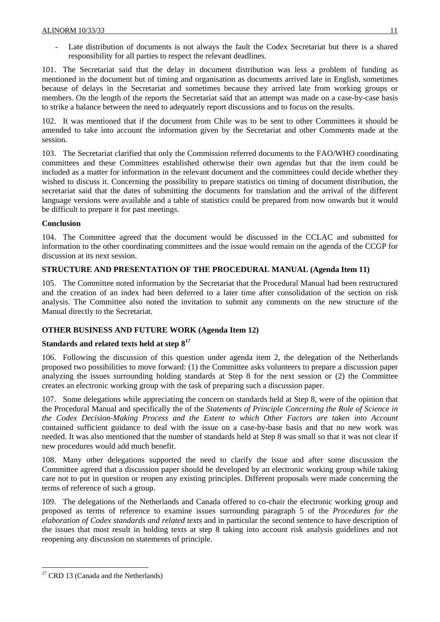Late distribution of documents is not always the fault the Codex Secretariat but there is a shared responsibility for all parties to respect the relevant deadlines.

101. The Secretariat said that the delay in document distribution was less a problem of funding as mentioned in the document but of timing and organisation as documents arrived late in English, sometimes because of delays in the Secretariat and sometimes because they arrived late from working groups or members. On the length of the reports the Secretariat said that an attempt was made on a case-by-case basis to strike a balance between the need to adequately report discussions and to focus on the results.

102. It was mentioned that if the document from Chile was to be sent to other Committees it should be amended to take into account the information given by the Secretariat and other Comments made at the session.

103. The Secretariat clarified that only the Commission referred documents to the FAO/WHO coordinating committees and these Committees established otherwise their own agendas but that the item could be included as a matter for information in the relevant document and the committees could decide whether they wished to discuss it. Concerning the possibility to prepare statistics on timing of document distribution, the secretariat said that the dates of submitting the documents for translation and the arrival of the different language versions were available and a table of statistics could be prepared from now onwards but it would be difficult to prepare it for past meetings.

## **Conclusion**

104. The Committee agreed that the document would be discussed in the CCLAC and submitted for information to the other coordinating committees and the issue would remain on the agenda of the CCGP for discussion at its next session.

# **STRUCTURE AND PRESENTATION OF THE PROCEDURAL MANUAL (Agenda Item 11)**

105. The Committee noted information by the Secretariat that the Procedural Manual had been restructured and the creation of an index had been deferred to a later time after consolidation of the section on risk analysis. The Committee also noted the invitation to submit any comments on the new structure of the Manual directly to the Secretariat.

# **OTHER BUSINESS AND FUTURE WORK (Agenda Item 12)**

# **Standards and related texts held at step 8<sup>17</sup>**

106. Following the discussion of this question under agenda item 2, the delegation of the Netherlands proposed two possibilities to move forward: (1) the Committee asks volunteers to prepare a discussion paper analyzing the issues surrounding holding standards at Step 8 for the next session or (2) the Committee creates an electronic working group with the task of preparing such a discussion paper.

107. Some delegations while appreciating the concern on standards held at Step 8, were of the opinion that the Procedural Manual and specifically the of the *Statements of Principle Concerning the Role of Science in the Codex Decision-Making Process and the Extent to which Other Factors are taken into Account*  contained sufficient guidance to deal with the issue on a case-by-base basis and that no new work was needed. It was also mentioned that the number of standards held at Step 8 was small so that it was not clear if new procedures would add much benefit.

108. Many other delegations supported the need to clarify the issue and after some discussion the Committee agreed that a discussion paper should be developed by an electronic working group while taking care not to put in question or reopen any existing principles. Different proposals were made concerning the terms of reference of such a group.

109. The delegations of the Netherlands and Canada offered to co-chair the electronic working group and proposed as terms of reference to examine issues surrounding paragraph 5 of the *Procedures for the elaboration of Codex standards and related texts* and in particular the second sentence to have description of the issues that most result in holding texts at step 8 taking into account risk analysis guidelines and not reopening any discussion on statements of principle.

l <sup>17</sup> CRD 13 (Canada and the Netherlands)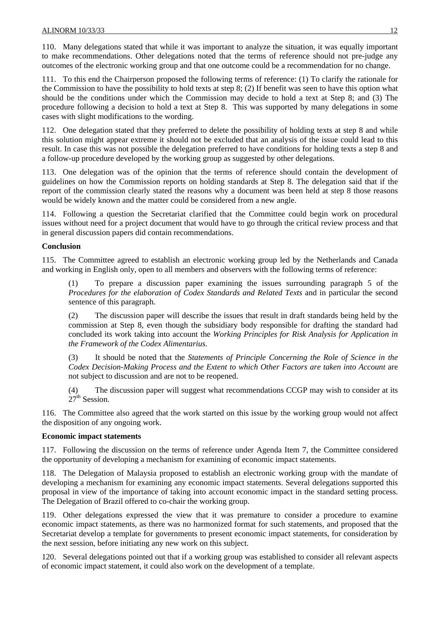110. Many delegations stated that while it was important to analyze the situation, it was equally important to make recommendations. Other delegations noted that the terms of reference should not pre-judge any outcomes of the electronic working group and that one outcome could be a recommendation for no change.

111. To this end the Chairperson proposed the following terms of reference: (1) To clarify the rationale for the Commission to have the possibility to hold texts at step 8; (2) If benefit was seen to have this option what should be the conditions under which the Commission may decide to hold a text at Step 8; and (3) The procedure following a decision to hold a text at Step 8. This was supported by many delegations in some cases with slight modifications to the wording.

112. One delegation stated that they preferred to delete the possibility of holding texts at step 8 and while this solution might appear extreme it should not be excluded that an analysis of the issue could lead to this result. In case this was not possible the delegation preferred to have conditions for holding texts a step 8 and a follow-up procedure developed by the working group as suggested by other delegations.

113. One delegation was of the opinion that the terms of reference should contain the development of guidelines on how the Commission reports on holding standards at Step 8. The delegation said that if the report of the commission clearly stated the reasons why a document was been held at step 8 those reasons would be widely known and the matter could be considered from a new angle.

114. Following a question the Secretariat clarified that the Committee could begin work on procedural issues without need for a project document that would have to go through the critical review process and that in general discussion papers did contain recommendations.

### **Conclusion**

115. The Committee agreed to establish an electronic working group led by the Netherlands and Canada and working in English only, open to all members and observers with the following terms of reference:

(1) To prepare a discussion paper examining the issues surrounding paragraph 5 of the *Procedures for the elaboration of Codex Standards and Related Texts* and in particular the second sentence of this paragraph.

(2) The discussion paper will describe the issues that result in draft standards being held by the commission at Step 8, even though the subsidiary body responsible for drafting the standard had concluded its work taking into account the *Working Principles for Risk Analysis for Application in the Framework of the Codex Alimentarius.*

(3) It should be noted that the *Statements of Principle Concerning the Role of Science in the Codex Decision-Making Process and the Extent to which Other Factors are taken into Account* are not subject to discussion and are not to be reopened.

(4) The discussion paper will suggest what recommendations CCGP may wish to consider at its  $27<sup>th</sup>$  Session.

116. The Committee also agreed that the work started on this issue by the working group would not affect the disposition of any ongoing work.

### **Economic impact statements**

117. Following the discussion on the terms of reference under Agenda Item 7, the Committee considered the opportunity of developing a mechanism for examining of economic impact statements.

118. The Delegation of Malaysia proposed to establish an electronic working group with the mandate of developing a mechanism for examining any economic impact statements. Several delegations supported this proposal in view of the importance of taking into account economic impact in the standard setting process. The Delegation of Brazil offered to co-chair the working group.

119. Other delegations expressed the view that it was premature to consider a procedure to examine economic impact statements, as there was no harmonized format for such statements, and proposed that the Secretariat develop a template for governments to present economic impact statements, for consideration by the next session, before initiating any new work on this subject.

120. Several delegations pointed out that if a working group was established to consider all relevant aspects of economic impact statement, it could also work on the development of a template.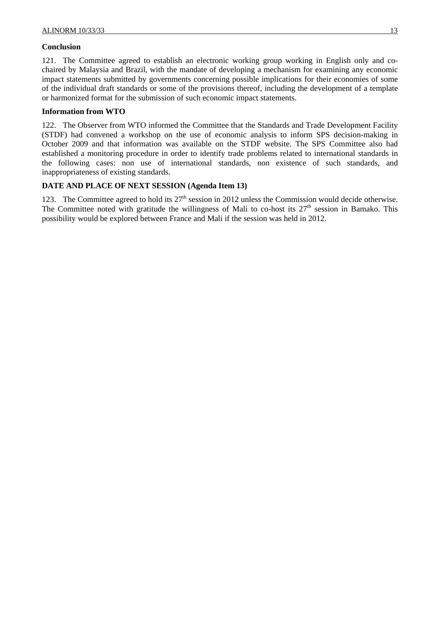### **Conclusion**

121. The Committee agreed to establish an electronic working group working in English only and cochaired by Malaysia and Brazil, with the mandate of developing a mechanism for examining any economic impact statements submitted by governments concerning possible implications for their economies of some of the individual draft standards or some of the provisions thereof, including the development of a template or harmonized format for the submission of such economic impact statements.

### **Information from WTO**

122. The Observer from WTO informed the Committee that the Standards and Trade Development Facility (STDF) had convened a workshop on the use of economic analysis to inform SPS decision-making in October 2009 and that information was available on the STDF website. The SPS Committee also had established a monitoring procedure in order to identify trade problems related to international standards in the following cases: non use of international standards, non existence of such standards, and inappropriateness of existing standards.

### **DATE AND PLACE OF NEXT SESSION (Agenda Item 13)**

123. The Committee agreed to hold its  $27<sup>th</sup>$  session in 2012 unless the Commission would decide otherwise. The Committee noted with gratitude the willingness of Mali to co-host its  $27<sup>th</sup>$  session in Bamako. This possibility would be explored between France and Mali if the session was held in 2012.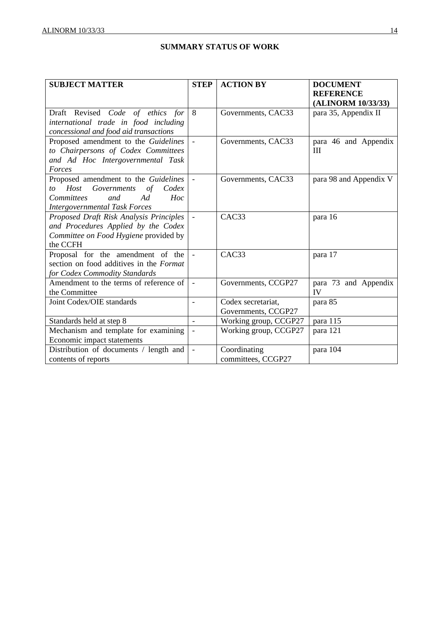# **SUMMARY STATUS OF WORK**

| <b>SUBJECT MATTER</b>                                                                                                                                          | <b>STEP</b>              | <b>ACTION BY</b>                          | <b>DOCUMENT</b><br><b>REFERENCE</b><br>(ALINORM 10/33/33) |
|----------------------------------------------------------------------------------------------------------------------------------------------------------------|--------------------------|-------------------------------------------|-----------------------------------------------------------|
| Draft Revised Code of ethics for<br>international trade in food including<br>concessional and food aid transactions                                            | 8                        | Governments, CAC33                        | para 35, Appendix II                                      |
| Proposed amendment to the Guidelines<br>to Chairpersons of Codex Committees<br>and Ad Hoc Intergovernmental Task<br>Forces                                     | $\frac{1}{2}$            | Governments, CAC33                        | para 46 and Appendix<br>Ш                                 |
| Proposed amendment to the Guidelines<br>Governments<br>Host<br>of Codex<br>to<br>Ad<br><b>Committees</b><br>and<br>Hoc<br><b>Intergovernmental Task Forces</b> | $\bar{\phantom{a}}$      | Governments, CAC33                        | para 98 and Appendix V                                    |
| Proposed Draft Risk Analysis Principles<br>and Procedures Applied by the Codex<br>Committee on Food Hygiene provided by<br>the CCFH                            | $\overline{a}$           | CAC <sub>3</sub> 3                        | para 16                                                   |
| Proposal for the amendment of the<br>section on food additives in the Format<br>for Codex Commodity Standards                                                  | $\overline{a}$           | CAC33                                     | para 17                                                   |
| Amendment to the terms of reference of<br>the Committee                                                                                                        | $\blacksquare$           | Governments, CCGP27                       | para 73 and Appendix<br>IV                                |
| Joint Codex/OIE standards                                                                                                                                      | $\overline{\phantom{a}}$ | Codex secretariat,<br>Governments, CCGP27 | para 85                                                   |
| Standards held at step 8                                                                                                                                       |                          | Working group, CCGP27                     | para 115                                                  |
| Mechanism and template for examining<br>Economic impact statements                                                                                             |                          | Working group, CCGP27                     | para 121                                                  |
| Distribution of documents / length and<br>contents of reports                                                                                                  | $\bar{\phantom{a}}$      | Coordinating<br>committees, CCGP27        | para 104                                                  |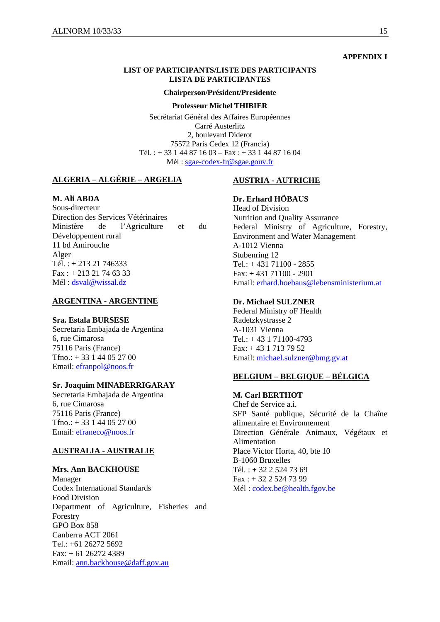#### **APPENDIX I**

#### **LIST OF PARTICIPANTS/LISTE DES PARTICIPANTS LISTA DE PARTICIPANTES**

#### **Chairperson/Président/Presidente**

#### **Professeur Michel THIBIER**

Secrétariat Général des Affaires Européennes Carré Austerlitz 2, boulevard Diderot 75572 Paris Cedex 12 (Francia) Tél. :  $+ 33144871603 - Fax$  :  $+ 33144871604$ Mél : sgae-codex-fr@sgae.gouv.fr

## **ALGERIA – ALGÉRIE – ARGELIA**

### **M. Ali ABDA**

Sous-directeur Direction des Services Vétérinaires Ministère de l'Agriculture et du Développement rural 11 bd Amirouche Alger Tél. : + 213 21 746333  $Fax: + 21321746333$ Mél : dsval@wissal.dz

#### **ARGENTINA - ARGENTINE**

#### **Sra. Estala BURSESE**

Secretaria Embajada de Argentina 6, rue Cimarosa 75116 Paris (France) Tfno.: + 33 1 44 05 27 00 Email: efranpol@noos.fr

#### **Sr. Joaquim MINABERRIGARAY**

Secretaria Embajada de Argentina 6, rue Cimarosa 75116 Paris (France) Tfno.: + 33 1 44 05 27 00 Email: efraneco@noos.fr

#### **AUSTRALIA - AUSTRALIE**

#### **Mrs. Ann BACKHOUSE**

Manager Codex International Standards Food Division Department of Agriculture, Fisheries and Forestry GPO Box 858 Canberra ACT 2061 Tel.: +61 26272 5692 Fax: + 61 26272 4389 Email: ann.backhouse@daff.gov.au

#### **AUSTRIA - AUTRICHE**

#### **Dr. Erhard HÖBAUS**

Head of Division Nutrition and Quality Assurance Federal Ministry of Agriculture, Forestry, Environment and Water Management A-1012 Vienna Stubenring 12 Tel.:  $+43171100 - 2855$ Fax: + 431 71100 - 2901 Email: erhard.hoebaus@lebensministerium.at

#### **Dr. Michael SULZNER**

Federal Ministry oF Health Radetzkystrasse 2 A-1031 Vienna Tel.: + 43 1 71100-4793 Fax: + 43 1 713 79 52 Email: michael.sulzner@bmg.gv.at

### **BELGIUM – BELGIQUE – BÉLGICA**

#### **M. Carl BERTHOT**

Chef de Service a.i. SFP Santé publique, Sécurité de la Chaîne alimentaire et Environnement Direction Générale Animaux, Végétaux et Alimentation Place Victor Horta, 40, bte 10 B-1060 Bruxelles Tél. : + 32 2 524 73 69 Fax : + 32 2 524 73 99 Mél : codex.be@health.fgov.be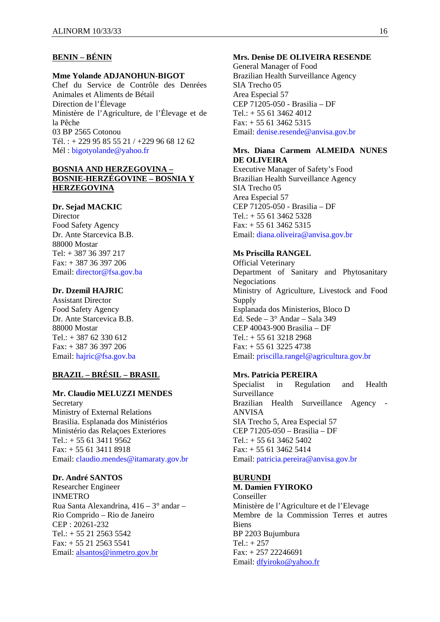# **BENIN – BÉNIN**

### **Mme Yolande ADJANOHUN-BIGOT**

Chef du Service de Contrôle des Denrées Animales et Aliments de Bétail Direction de l'Élevage Ministère de l'Agriculture, de l'Élevage et de la Pêche 03 BP 2565 Cotonou Tél. : + 229 95 85 55 21 / +229 96 68 12 62 Mél : bigotyolande@yahoo.fr

### **BOSNIA AND HERZEGOVINA – BOSNIE-HERZÉGOVINE – BOSNIA Y HERZEGOVINA**

### **Dr. Sejad MACKIC**

**Director** Food Safety Agency Dr. Ante Starcevica B.B. 88000 Mostar Tel: + 387 36 397 217 Fax: + 387 36 397 206 Email: director@fsa.gov.ba

# **Dr. Dzemil HAJRIC**

Assistant Director Food Safety Agency Dr. Ante Starcevica B.B. 88000 Mostar Tel.: + 387 62 330 612 Fax: + 387 36 397 206 Email: hajric@fsa.gov.ba

## **BRAZIL – BRÉSIL – BRASIL**

#### **Mr. Claudio MELUZZI MENDES**

Secretary Ministry of External Relations Brasilia. Esplanada dos Ministérios Ministério das Relaçoes Exteriores Tel.: + 55 61 3411 9562 Fax: + 55 61 3411 8918 Email: claudio.mendes@itamaraty.gov.br

#### **Dr. André SANTOS**

Researcher Engineer INMETRO Rua Santa Alexandrina, 416 – 3° andar – Rio Comprido – Rio de Janeiro CEP : 20261-232  $Tel: + 55 21 2563 5542$ Fax: + 55 21 2563 5541 Email: alsantos@inmetro.gov.br

#### **Mrs. Denise DE OLIVEIRA RESENDE**

General Manager of Food Brazilian Health Surveillance Agency SIA Trecho 05 Area Especial 57 CEP 71205-050 - Brasilia – DF Tel.: + 55 61 3462 4012  $Fax: + 556134625315$ Email: denise.resende@anvisa.gov.br

### **Mrs. Diana Carmem ALMEIDA NUNES DE OLIVEIRA**

Executive Manager of Safety's Food Brazilian Health Surveillance Agency SIA Trecho 05 Area Especial 57 CEP 71205-050 - Brasilia – DF  $Tel: + 556134625328$ Fax: + 55 61 3462 5315 Email: diana.oliveira@anvisa.gov.br

#### **Ms Priscilla RANGEL**

Official Veterinary Department of Sanitary and Phytosanitary **Negociations** Ministry of Agriculture, Livestock and Food Supply Esplanada dos Ministerios, Bloco D Ed. Sede – 3° Andar – Sala 349 CEP 40043-900 Brasilia – DF Tel.:  $+ 556132182968$ Fax: + 55 61 3225 4738 Email: priscilla.rangel@agricultura.gov.br

### **Mrs. Patricia PEREIRA**

Specialist in Regulation and Health Surveillance Brazilian Health Surveillance Agency - ANVISA SIA Trecho 5, Area Especial 57 CEP 71205-050 – Brasilia – DF  $Tel.: + 556134625402$ Fax: + 55 61 3462 5414 Email: patricia.pereira@anvisa.gov.br

#### **BURUNDI M. Damien FYIROKO**

Conseiller Ministère de l'Agriculture et de l'Elevage Membre de la Commission Terres et autres Biens BP 2203 Bujumbura  $Tel: + 257$ Fax: + 257 22246691 Email: dfyiroko@yahoo.fr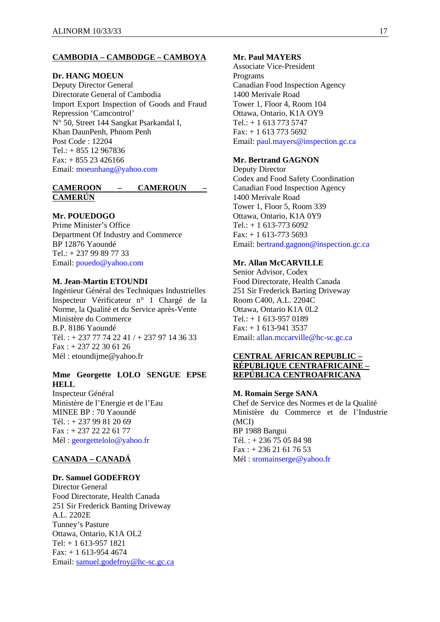### **CAMBODIA – CAMBODGE – CAMBOYA**

#### **Dr. HANG MOEUN**

Deputy Director General Directorate General of Cambodia Import Export Inspection of Goods and Fraud Repression 'Camcontrol' N° 50, Street 144 Sangkat Psarkandal I, Khan DaunPenh, Phnom Penh Post Code : 12204 Tel.: + 855 12 967836 Fax: + 855 23 426166 Email: moeunhang@yahoo.com

### **CAMEROON – CAMEROUN – CAMERÚN**

### **Mr. POUEDOGO**

Prime Minister's Office Department Of Industry and Commerce BP 12876 Yaoundé Tel.: + 237 99 89 77 33 Email: pouedo@yahoo.com

#### **M. Jean-Martin ETOUNDI**

Ingénieur Général des Techniques Industrielles Inspecteur Vérificateur n° 1 Chargé de la Norme, la Qualité et du Service après-Vente Ministère du Commerce B.P. 8186 Yaoundé Tél. : + 237 77 74 22 41 / + 237 97 14 36 33 Fax : + 237 22 30 61 26 Mél : etoundijme@yahoo.fr

# **Mme Georgette LOLO SENGUE EPSE HELL**

Inspecteur Général Ministère de l'Energie et de l'Eau MINEE BP : 70 Yaoundé Tél. : + 237 99 81 20 69 Fax : + 237 22 22 61 77 Mél : georgettelolo@yahoo.fr

## **CANADA – CANADÁ**

#### **Dr. Samuel GODEFROY**

Director General Food Directorate, Health Canada 251 Sir Frederick Banting Driveway A.L. 2202E Tunney's Pasture Ottawa, Ontario, K1A OL2 Tel: + 1 613-957 1821 Fax: + 1 613-954 4674 Email: samuel.godefroy@hc-sc.gc.ca

#### **Mr. Paul MAYERS**

Associate Vice-President Programs Canadian Food Inspection Agency 1400 Merivale Road Tower 1, Floor 4, Room 104 Ottawa, Ontario, K1A OY9 Tel.: + 1 613 773 5747 Fax: + 1 613 773 5692 Email: paul.mayers@inspection.gc.ca

#### **Mr. Bertrand GAGNON**

Deputy Director Codex and Food Safety Coordination Canadian Food Inspection Agency 1400 Merivale Road Tower 1, Floor 5, Room 339 Ottawa, Ontario, K1A 0Y9 Tel.:  $+ 1613 - 7736092$  $Fax: + 1613-7735693$ Email: bertrand.gagnon@inspection.gc.ca

### **Mr. Allan McCARVILLE**

Senior Advisor, Codex Food Directorate, Health Canada 251 Sir Frederick Barting Driveway Room C400, A.L. 2204C Ottawa, Ontario K1A 0L2 Tel.: + 1 613-957 0189 Fax: + 1 613-941 3537 Email: allan.mccarville@hc-sc.gc.ca

### **CENTRAL AFRICAN REPUBLIC – RÉPUBLIQUE CENTRAFRICAINE – REPÚBLICA CENTROAFRICANA**

#### **M. Romain Serge SANA**

Chef de Service des Normes et de la Qualité Ministère du Commerce et de l'Industrie (MCI) BP 1988 Bangui Tél. : + 236 75 05 84 98  $Fax: + 23621617653$ Mél : sromainserge@yahoo.fr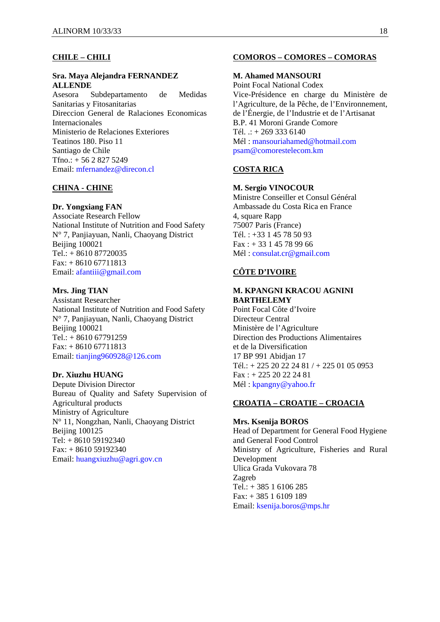### **CHILE – CHILI**

### **Sra. Maya Alejandra FERNANDEZ ALLENDE**

Asesora Subdepartamento de Medidas Sanitarias y Fitosanitarias Direccion General de Ralaciones Economicas Internacionales Ministerio de Relaciones Exteriores Teatinos 180. Piso 11 Santiago de Chile Tfno.: + 56 2 827 5249 Email: mfernandez@direcon.cl

## **CHINA - CHINE**

#### **Dr. Yongxiang FAN**

Associate Research Fellow National Institute of Nutrition and Food Safety N° 7, Panjiayuan, Nanli, Chaoyang District **Beijing 100021** Tel.: + 8610 87720035 Fax: + 8610 67711813 Email: afantiii@gmail.com

## **Mrs. Jing TIAN**

Assistant Researcher National Institute of Nutrition and Food Safety N° 7, Panjiayuan, Nanli, Chaoyang District Beijing 100021 Tel.: + 8610 67791259  $Fax: + 861067711813$ Email: tianjing960928@126.com

#### **Dr. Xiuzhu HUANG**

Depute Division Director Bureau of Quality and Safety Supervision of Agricultural products Ministry of Agriculture N° 11, Nongzhan, Nanli, Chaoyang District Beijing 100125 Tel: + 8610 59192340 Fax: + 8610 59192340 Email: huangxiuzhu@agri.gov.cn

#### **COMOROS – COMORES – COMORAS**

### **M. Ahamed MANSOURI**

Point Focal National Codex Vice-Présidence en charge du Ministère de l'Agriculture, de la Pêche, de l'Environnement, de l'Énergie, de l'Industrie et de l'Artisanat B.P. 41 Moroni Grande Comore Tél. .: + 269 333 6140 Mél : mansouriahamed@hotmail.com psam@comorestelecom.km

## **COSTA RICA**

#### **M. Sergio VINOCOUR**

Ministre Conseiller et Consul Général Ambassade du Costa Rica en France 4, square Rapp 75007 Paris (France) Tél. : +33 1 45 78 50 93  $Fax: + 33145789966$ Mél : consulat.cr@gmail.com

# **CÔTE D'IVOIRE**

## **M. KPANGNI KRACOU AGNINI BARTHELEMY**

Point Focal Côte d'Ivoire Directeur Central Ministère de l'Agriculture Direction des Productions Alimentaires et de la Diversification 17 BP 991 Abidjan 17 Tél.: + 225 20 22 24 81 / + 225 01 05 0953 Fax : + 225 20 22 24 81 Mél : kpangny@yahoo.fr

# **CROATIA – CROATIE – CROACIA**

#### **Mrs. Ksenija BOROS**

Head of Department for General Food Hygiene and General Food Control Ministry of Agriculture, Fisheries and Rural Development Ulica Grada Vukovara 78 Zagreb Tel.: + 385 1 6106 285 Fax: + 385 1 6109 189 Email: ksenija.boros@mps.hr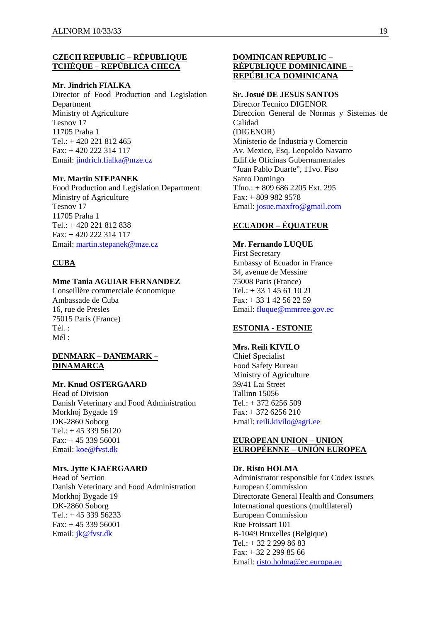## **CZECH REPUBLIC – RÉPUBLIQUE TCHÈQUE – REPÚBLICA CHECA**

#### **Mr. Jindrich FIALKA**

Director of Food Production and Legislation Department Ministry of Agriculture Tesnov 17 11705 Praha 1 Tel.: + 420 221 812 465 Fax: + 420 222 314 117 Email: jindrich.fialka@mze.cz

#### **Mr. Martin STEPANEK**

Food Production and Legislation Department Ministry of Agriculture Tesnov 17 11705 Praha 1 Tel.: + 420 221 812 838 Fax: + 420 222 314 117 Email: martin.stepanek@mze.cz

#### **CUBA**

### **Mme Tania AGUIAR FERNANDEZ**

Conseillère commerciale économique Ambassade de Cuba 16, rue de Presles 75015 Paris (France) Tél. :  $Mél$ 

### **DENMARK – DANEMARK – DINAMARCA**

# **Mr. Knud OSTERGAARD**

Head of Division Danish Veterinary and Food Administration Morkhoj Bygade 19 DK-2860 Soborg Tel.: + 45 339 56120 Fax: + 45 339 56001 Email: koe@fvst.dk

#### **Mrs. Jytte KJAERGAARD**

Head of Section Danish Veterinary and Food Administration Morkhoj Bygade 19 DK-2860 Soborg Tel.:  $+4533956233$ Fax: + 45 339 56001 Email: jk@fvst.dk

## **DOMINICAN REPUBLIC – RÉPUBLIQUE DOMINICAINE – REPÚBLICA DOMINICANA**

## **Sr. Josué DE JESUS SANTOS**

Director Tecnico DIGENOR Direccion General de Normas y Sistemas de Calidad (DIGENOR) Ministerio de Industria y Comercio Av. Mexico, Esq. Leopoldo Navarro Edif.de Oficinas Gubernamentales "Juan Pablo Duarte", 11vo. Piso Santo Domingo Tfno.: + 809 686 2205 Ext. 295 Fax: + 809 982 9578 Email: josue.maxfro@gmail.com

# **ECUADOR – ÉQUATEUR**

#### **Mr. Fernando LUQUE**

First Secretary Embassy of Ecuador in France 34, avenue de Messine 75008 Paris (France) Tel.: + 33 1 45 61 10 21 Fax: + 33 1 42 56 22 59 Email: fluque@mmrree.gov.ec

# **ESTONIA - ESTONIE**

**Mrs. Reili KIVILO**  Chief Specialist Food Safety Bureau Ministry of Agriculture 39/41 Lai Street Tallinn 15056  $Tel: + 372, 6256, 509$ Fax: + 372 6256 210 Email: reili.kivilo@agri.ee

## **EUROPEAN UNION – UNION EUROPÉENNE – UNIÓN EUROPEA**

#### **Dr. Risto HOLMA**

Administrator responsible for Codex issues European Commission Directorate General Health and Consumers International questions (multilateral) European Commission Rue Froissart 101 B-1049 Bruxelles (Belgique) Tel.: + 32 2 299 86 83 Fax: + 32 2 299 85 66 Email: risto.holma@ec.europa.eu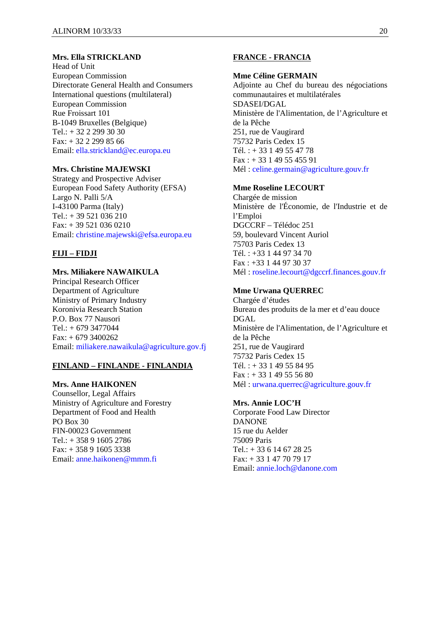### **Mrs. Ella STRICKLAND**

Head of Unit European Commission Directorate General Health and Consumers International questions (multilateral) European Commission Rue Froissart 101 B-1049 Bruxelles (Belgique) Tel.: + 32 2 299 30 30 Fax: + 32 2 299 85 66 Email: ella.strickland@ec.europa.eu

## **Mrs. Christine MAJEWSKI**

Strategy and Prospective Adviser European Food Safety Authority (EFSA) Largo N. Palli 5/A I-43100 Parma (Italy)  $Tel: + 39 521 036 210$ Fax: + 39 521 036 0210 Email: christine.majewski@efsa.europa.eu

### **FIJI – FIDJI**

### **Mrs. Miliakere NAWAIKULA**

Principal Research Officer Department of Agriculture Ministry of Primary Industry Koronivia Research Station P.O. Box 77 Nausori  $Tel.: + 6793477044$  $Fax: + 6793400262$ Email: miliakere.nawaikula@agriculture.gov.fj

#### **FINLAND – FINLANDE - FINLANDIA**

#### **Mrs. Anne HAIKONEN**

Counsellor, Legal Affairs Ministry of Agriculture and Forestry Department of Food and Health PO Box 30 FIN-00023 Government Tel.: + 358 9 1605 2786 Fax: + 358 9 1605 3338 Email: anne.haikonen@mmm.fi

## **FRANCE - FRANCIA**

#### **Mme Céline GERMAIN**

Adjointe au Chef du bureau des négociations communautaires et multilatérales SDASEI/DGAL Ministère de l'Alimentation, de l'Agriculture et de la Pêche 251, rue de Vaugirard 75732 Paris Cedex 15 Tél. : + 33 1 49 55 47 78  $Fax: + 331495545591$ Mél : celine.germain@agriculture.gouv.fr

#### **Mme Roseline LECOURT**

Chargée de mission Ministère de l'Économie, de l'Industrie et de l'Emploi DGCCRF – Télédoc 251 59, boulevard Vincent Auriol 75703 Paris Cedex 13 Tél. : +33 1 44 97 34 70 Fax : +33 1 44 97 30 37 Mél : roseline.lecourt@dgccrf.finances.gouv.fr

### **Mme Urwana QUERREC**

Chargée d'études Bureau des produits de la mer et d'eau douce DGAL Ministère de l'Alimentation, de l'Agriculture et de la Pêche 251, rue de Vaugirard 75732 Paris Cedex 15 Tél. :  $+33149558495$ Fax : + 33 1 49 55 56 80 Mél : urwana.querrec@agriculture.gouv.fr

### **Mrs. Annie LOC'H**

Corporate Food Law Director DANONE 15 rue du Aelder 75009 Paris Tel.: + 33 6 14 67 28 25 Fax: + 33 1 47 70 79 17 Email: annie.loch@danone.com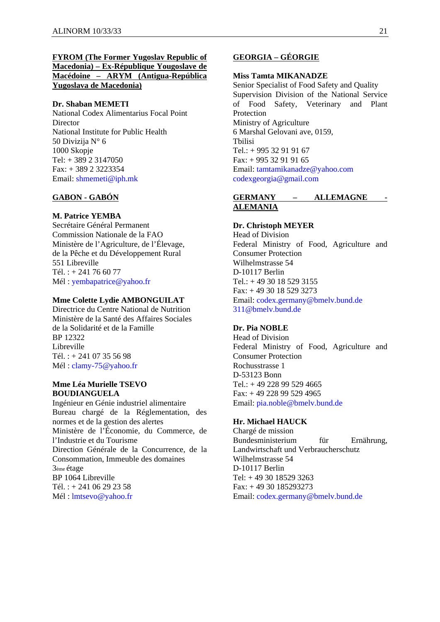## **FYROM (The Former Yugoslav Republic of Macedonia) – Ex-République Yougoslave de Macédoine – ARYM (Antigua-República Yugoslava de Macedonia)**

#### **Dr. Shaban MEMETI**

National Codex Alimentarius Focal Point Director National Institute for Public Health 50 Divizija N° 6 1000 Skopje Tel: + 389 2 3147050 Fax: + 389 2 3223354 Email: shmemeti@iph.mk

### **GABON - GABÓN**

#### **M. Patrice YEMBA**

Secrétaire Général Permanent Commission Nationale de la FAO Ministère de l'Agriculture, de l'Élevage, de la Pêche et du Développement Rural 551 Libreville  $Tél + 241766077$ Mél : yembapatrice@yahoo.fr

#### **Mme Colette Lydie AMBONGUILAT**

Directrice du Centre National de Nutrition Ministère de la Santé des Affaires Sociales de la Solidarité et de la Famille BP 12322 Libreville Tél. : + 241 07 35 56 98 Mél : clamy-75@yahoo.fr

#### **Mme Léa Murielle TSEVO BOUDIANGUELA**

Ingénieur en Génie industriel alimentaire Bureau chargé de la Réglementation, des normes et de la gestion des alertes Ministère de l'Économie, du Commerce, de l'Industrie et du Tourisme Direction Générale de la Concurrence, de la Consommation, Immeuble des domaines 3ème étage BP 1064 Libreville Tél. :  $+ 241 06 29 23 58$ Mél : lmtsevo@yahoo.fr

# **GEORGIA – GÉORGIE**

#### **Miss Tamta MIKANADZE**

Senior Specialist of Food Safety and Quality Supervision Division of the National Service of Food Safety, Veterinary and Plant Protection Ministry of Agriculture 6 Marshal Gelovani ave, 0159, Tbilisi Tel.:  $+99532919167$ Fax: + 995 32 91 91 65 Email: tamtamikanadze@yahoo.com codexgeorgia@gmail.com

#### **GERMANY – ALLEMAGNE - ALEMANIA**

### **Dr. Christoph MEYER**

Head of Division Federal Ministry of Food, Agriculture and Consumer Protection Wilhelmstrasse 54 D-10117 Berlin Tel.: + 49 30 18 529 3155 Fax: + 49 30 18 529 3273 Email: codex.germany@bmelv.bund.de 311@bmelv.bund.de

## **Dr. Pia NOBLE**

Head of Division Federal Ministry of Food, Agriculture and Consumer Protection Rochusstrasse 1 D-53123 Bonn Tel.: + 49 228 99 529 4665 Fax: + 49 228 99 529 4965 Email: pia.noble@bmelv.bund.de

#### **Hr. Michael HAUCK**

Chargé de mission Bundesministerium für Ernährung, Landwirtschaft und Verbraucherschutz Wilhelmstrasse 54 D-10117 Berlin Tel: + 49 30 18529 3263 Fax: + 49 30 185293273 Email: codex.germany@bmelv.bund.de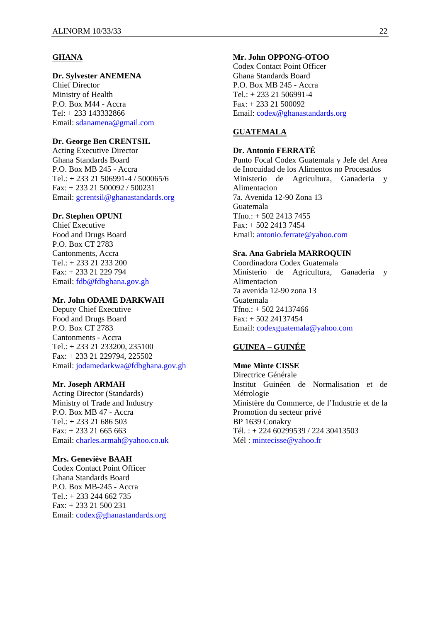#### **GHANA**

### **Dr. Sylvester ANEMENA**

Chief Director Ministry of Health P.O. Box M44 - Accra Tel: + 233 143332866 Email: sdanamena@gmail.com

### **Dr. George Ben CRENTSIL**

Acting Executive Director Ghana Standards Board P.O. Box MB 245 - Accra Tel.: + 233 21 506991-4 / 500065/6 Fax: + 233 21 500092 / 500231 Email: gcrentsil@ghanastandards.org

### **Dr. Stephen OPUNI**

Chief Executive Food and Drugs Board P.O. Box CT 2783 Cantonments, Accra Tel.: + 233 21 233 200 Fax: + 233 21 229 794 Email: fdb@fdbghana.gov.gh

#### **Mr. John ODAME DARKWAH**

Deputy Chief Executive Food and Drugs Board P.O. Box CT 2783 Cantonments - Accra Tel.: + 233 21 233200, 235100 Fax: + 233 21 229794, 225502 Email: jodamedarkwa@fdbghana.gov.gh

#### **Mr. Joseph ARMAH**

Acting Director (Standards) Ministry of Trade and Industry P.O. Box MB 47 - Accra Tel.:  $+ 233 21 686 503$ Fax: + 233 21 665 663 Email: charles.armah@yahoo.co.uk

#### **Mrs. Geneviève BAAH**

Codex Contact Point Officer Ghana Standards Board P.O. Box MB-245 - Accra Tel.: + 233 244 662 735 Fax: + 233 21 500 231 Email: codex@ghanastandards.org

#### **Mr. John OPPONG-OTOO**

Codex Contact Point Officer Ghana Standards Board P.O. Box MB 245 - Accra Tel.: + 233 21 506991-4 Fax: + 233 21 500092 Email: codex@ghanastandards.org

## **GUATEMALA**

### **Dr. Antonio FERRATÉ**

Punto Focal Codex Guatemala y Jefe del Area de Inocuidad de los Alimentos no Procesados Ministerio de Agricultura, Ganaderia y Alimentacion 7a. Avenida 12-90 Zona 13 Guatemala  $Tfno.: + 50224137455$ Fax: + 502 2413 7454 Email: antonio.ferrate@yahoo.com

#### **Sra. Ana Gabriela MARROQUIN**

Coordinadora Codex Guatemala Ministerio de Agricultura, Ganaderia y Alimentacion 7a avenida 12-90 zona 13 Guatemala Tfno.: + 502 24137466 Fax: + 502 24137454 Email: codexguatemala@yahoo.com

## **GUINEA – GUINÉE**

**Mme Minte CISSE**  Directrice Générale Institut Guinéen de Normalisation et de Métrologie Ministère du Commerce, de l'Industrie et de la Promotion du secteur privé BP 1639 Conakry Tél. : + 224 60299539 / 224 30413503 Mél : mintecisse@yahoo.fr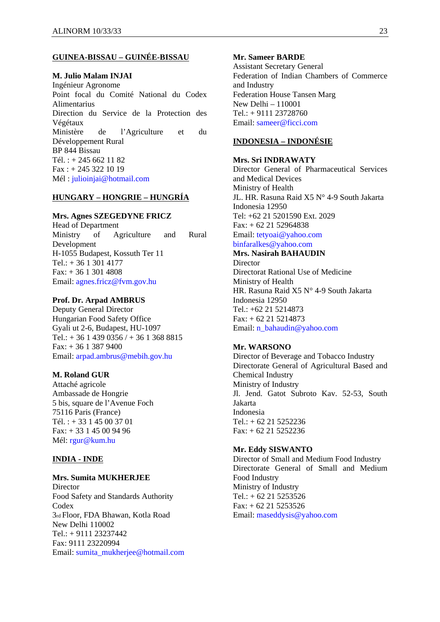# **GUINEA-BISSAU – GUINÉE-BISSAU**

#### **M. Julio Malam INJAI**

Ingénieur Agronome Point focal du Comité National du Codex Alimentarius Direction du Service de la Protection des Végétaux Ministère de l'Agriculture et du Développement Rural BP 844 Bissau Tél. : + 245 662 11 82 Fax : + 245 322 10 19 Mél : julioinjai@hotmail.com

#### **HUNGARY – HONGRIE – HUNGRÍA**

#### **Mrs. Agnes SZEGEDYNE FRICZ**

Head of Department Ministry of Agriculture and Rural Development H-1055 Budapest, Kossuth Ter 11 Tel.:  $+3613014177$  $Fax + 3613014808$ Email: agnes.fricz@fvm.gov.hu

#### **Prof. Dr. Arpad AMBRUS**

Deputy General Director Hungarian Food Safety Office Gyali ut 2-6, Budapest, HU-1097 Tel.: + 36 1 439 0356 / + 36 1 368 8815 Fax: + 36 1 387 9400 Email: arpad.ambrus@mebih.gov.hu

#### **M. Roland GUR**

Attaché agricole Ambassade de Hongrie 5 bis, square de l'Avenue Foch 75116 Paris (France) Tél. : + 33 1 45 00 37 01 Fax: + 33 1 45 00 94 96 Mél: rgur@kum.hu

#### **INDIA - INDE**

#### **Mrs. Sumita MUKHERJEE**

**Director** Food Safety and Standards Authority **Codex** 3rd Floor, FDA Bhawan, Kotla Road New Delhi 110002 Tel.: + 9111 23237442 Fax: 9111 23220994 Email: sumita\_mukherjee@hotmail.com

#### **Mr. Sameer BARDE**

Assistant Secretary General Federation of Indian Chambers of Commerce and Industry Federation House Tansen Marg New Delhi – 110001 Tel.: + 9111 23728760 Email: sameer@ficci.com

## **INDONESIA – INDONÉSIE**

#### **Mrs. Sri INDRAWATY**

Director General of Pharmaceutical Services and Medical Devices Ministry of Health JL. HR. Rasuna Raid X5 N° 4-9 South Jakarta Indonesia 12950 Tel: +62 21 5201590 Ext. 2029 Fax: + 62 21 52964838 Email: tetyoai@yahoo.com binfaralkes@yahoo.com

### **Mrs. Nasirah BAHAUDIN**

Director Directorat Rational Use of Medicine Ministry of Health HR. Rasuna Raid X5 N° 4-9 South Jakarta Indonesia 12950 Tel.: +62 21 5214873  $Fax: + 62 21 5214873$ Email: n\_bahaudin@yahoo.com

#### **Mr. WARSONO**

Director of Beverage and Tobacco Industry Directorate General of Agricultural Based and Chemical Industry Ministry of Industry Jl. Jend. Gatot Subroto Kav. 52-53, South Jakarta Indonesia Tel.: + 62 21 5252236 Fax: + 62 21 5252236

#### **Mr. Eddy SISWANTO**

Director of Small and Medium Food Industry Directorate General of Small and Medium Food Industry Ministry of Industry Tel.:  $+ 62 21 5253526$  $Fax: + 62 21 5253526$ Email: maseddysis@yahoo.com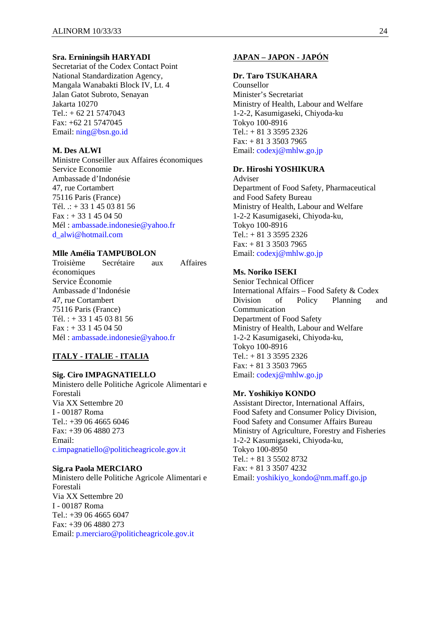#### **Sra. Erniningsih HARYADI**

Secretariat of the Codex Contact Point National Standardization Agency, Mangala Wanabakti Block IV, Lt. 4 Jalan Gatot Subroto, Senayan Jakarta 10270 Tel.: + 62 21 5747043 Fax: +62 21 5747045 Email: ning@bsn.go.id

#### **M. Des ALWI**

Ministre Conseiller aux Affaires économiques Service Economie Ambassade d'Indonésie 47, rue Cortambert 75116 Paris (France) Tél. .: + 33 1 45 03 81 56  $Fax : + 331450450$ Mél : ambassade.indonesie@yahoo.fr d\_alwi@hotmail.com

#### **Mlle Amélia TAMPUBOLON**

Troisième Secrétaire aux Affaires économiques Service Économie Ambassade d'Indonésie 47, rue Cortambert 75116 Paris (France) Tél. : + 33 1 45 03 81 56  $Fax : + 331450450$ Mél : ambassade.indonesie@yahoo.fr

## **ITALY - ITALIE - ITALIA**

#### **Sig. Ciro IMPAGNATIELLO**

Ministero delle Politiche Agricole Alimentari e Forestali Via XX Settembre 20 I - 00187 Roma Tel.: +39 06 4665 6046 Fax: +39 06 4880 273 Email: c.impagnatiello@politicheagricole.gov.it

#### **Sig.ra Paola MERCIARO**

Ministero delle Politiche Agricole Alimentari e Forestali Via XX Settembre 20 I - 00187 Roma Tel.: +39 06 4665 6047 Fax: +39 06 4880 273 Email: p.merciaro@politicheagricole.gov.it

# **JAPAN – JAPON - JAPÓN**

#### **Dr. Taro TSUKAHARA**

Counsellor Minister's Secretariat Ministry of Health, Labour and Welfare 1-2-2, Kasumigaseki, Chiyoda-ku Tokyo 100-8916 Tel.: + 81 3 3595 2326 Fax: + 81 3 3503 7965 Email: codexj@mhlw.go.jp

# **Dr. Hiroshi YOSHIKURA**

Adviser Department of Food Safety, Pharmaceutical and Food Safety Bureau Ministry of Health, Labour and Welfare 1-2-2 Kasumigaseki, Chiyoda-ku, Tokyo 100-8916 Tel.: + 81 3 3595 2326 Fax: + 81 3 3503 7965 Email: codexj@mhlw.go.jp

# **Ms. Noriko ISEKI**

Senior Technical Officer International Affairs – Food Safety & Codex Division of Policy Planning and Communication Department of Food Safety Ministry of Health, Labour and Welfare 1-2-2 Kasumigaseki, Chiyoda-ku, Tokyo 100-8916 Tel.: + 81 3 3595 2326 Fax: + 81 3 3503 7965 Email: codexj@mhlw.go.jp

#### **Mr. Yoshikiyo KONDO**

Assistant Director, International Affairs, Food Safety and Consumer Policy Division, Food Safety and Consumer Affairs Bureau Ministry of Agriculture, Forestry and Fisheries 1-2-2 Kasumigaseki, Chiyoda-ku, Tokyo 100-8950 Tel.: + 81 3 5502 8732 Fax: + 81 3 3507 4232 Email: yoshikiyo\_kondo@nm.maff.go.jp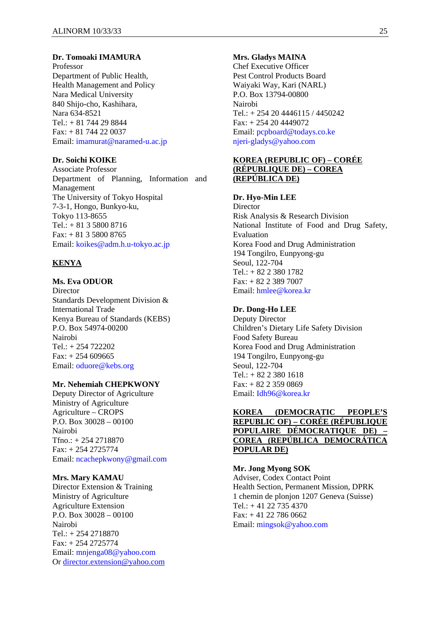### **Dr. Tomoaki IMAMURA**

Professor Department of Public Health, Health Management and Policy Nara Medical University 840 Shijo-cho, Kashihara, Nara 634-8521 Tel.:  $+ 81$  744 29 8844 Fax: + 81 744 22 0037 Email: imamurat@naramed-u.ac.jp

## **Dr. Soichi KOIKE**

Associate Professor Department of Planning, Information and Management The University of Tokyo Hospital 7-3-1, Hongo, Bunkyo-ku, Tokyo 113-8655 Tel.: + 81 3 5800 8716 Fax: + 81 3 5800 8765 Email: koikes@adm.h.u-tokyo.ac.jp

### **KENYA**

## **Ms. Eva ODUOR**

Director Standards Development Division & International Trade Kenya Bureau of Standards (KEBS) P.O. Box 54974-00200 Nairobi  $Tel + 254 722202$ Fax: + 254 609665 Email: oduore@kebs.org

#### **Mr. Nehemiah CHEPKWONY**

Deputy Director of Agriculture Ministry of Agriculture Agriculture – CROPS P.O. Box 30028 – 00100 Nairobi Tfno.: + 254 2718870 Fax: + 254 2725774 Email: ncachepkwony@gmail.com

## **Mrs. Mary KAMAU**

Director Extension & Training Ministry of Agriculture Agriculture Extension P.O. Box 30028 – 00100 Nairobi Tel.: + 254 2718870 Fax: + 254 2725774 Email: mnjenga08@yahoo.com Or director.extension@yahoo.com

#### **Mrs. Gladys MAINA**

Chef Executive Officer Pest Control Products Board Waiyaki Way, Kari (NARL) P.O. Box 13794-00800 Nairobi Tel.: + 254 20 4446115 / 4450242  $Fax: + 254204449072$ Email: pcpboard@todays.co.ke njeri-gladys@yahoo.com

## **KOREA (REPUBLIC OF) – CORÉE (RÉPUBLIQUE DE) – COREA (REPÚBLICA DE)**

#### **Dr. Hyo-Min LEE**

Director Risk Analysis & Research Division National Institute of Food and Drug Safety, Evaluation Korea Food and Drug Administration 194 Tongilro, Eunpyong-gu Seoul, 122-704  $Tel + 82.2.380.1782$ Fax: + 82 2 389 7007 Email: hmlee@korea.kr

#### **Dr. Dong-Ho LEE**

Deputy Director Children's Dietary Life Safety Division Food Safety Bureau Korea Food and Drug Administration 194 Tongilro, Eunpyong-gu Seoul, 122-704 Tel.: + 82 2 380 1618 Fax: + 82 2 359 0869 Email: Idh96@korea.kr

## **KOREA (DEMOCRATIC PEOPLE'S REPUBLIC OF) – CORÉE (RÉPUBLIQUE POPULAIRE DÉMOCRATIQUE DE) – COREA (REPÚBLICA DEMOCRÁTICA POPULAR DE)**

#### **Mr. Jong Myong SOK**

Adviser, Codex Contact Point Health Section, Permanent Mission, DPRK 1 chemin de plonjon 1207 Geneva (Suisse) Tel.:  $+41\,22\,735\,4370$  $Fax + 41$  22, 786, 0662 Email: mingsok@yahoo.com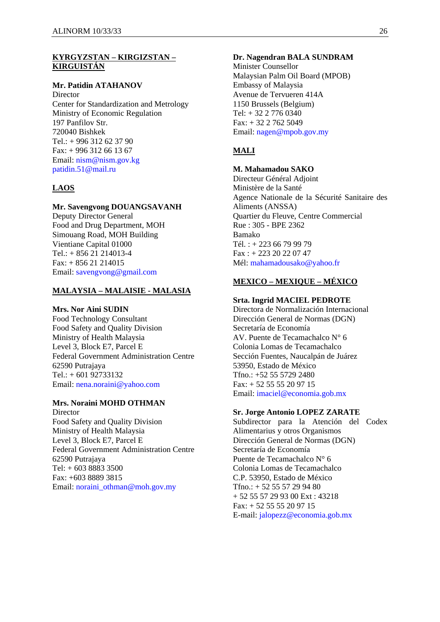### **KYRGYZSTAN – KIRGIZSTAN – KIRGUISTÁN**

#### **Mr. Patidin ATAHANOV**

**Director** Center for Standardization and Metrology Ministry of Economic Regulation 197 Panfilov Str. 720040 Bishkek Tel.: + 996 312 62 37 90  $Fax: + 996 312 66 13 67$ Email: nism@nism.gov.kg patidin.51@mail.ru

## **LAOS**

### **Mr. Savengvong DOUANGSAVANH**

Deputy Director General Food and Drug Department, MOH Simouang Road, MOH Building Vientiane Capital 01000  $Tel: + 85621214013-4$ Fax: + 856 21 214015 Email: savengvong@gmail.com

### **MALAYSIA – MALAISIE - MALASIA**

#### **Mrs. Nor Aini SUDIN**

Food Technology Consultant Food Safety and Quality Division Ministry of Health Malaysia Level 3, Block E7, Parcel E Federal Government Administration Centre 62590 Putrajaya Tel.: + 601 92733132 Email: nena.noraini@yahoo.com

## **Mrs. Noraini MOHD OTHMAN**

Director Food Safety and Quality Division Ministry of Health Malaysia Level 3, Block E7, Parcel E Federal Government Administration Centre 62590 Putrajaya Tel: + 603 8883 3500 Fax: +603 8889 3815 Email: noraini\_othman@moh.gov.my

#### **Dr. Nagendran BALA SUNDRAM**

Minister Counsellor Malaysian Palm Oil Board (MPOB) Embassy of Malaysia Avenue de Tervueren 414A 1150 Brussels (Belgium) Tel: + 32 2 776 0340  $Fax: + 32 2 762 5049$ Email: nagen@mpob.gov.my

# **MALI**

# **M. Mahamadou SAKO**

Directeur Général Adjoint Ministère de la Santé Agence Nationale de la Sécurité Sanitaire des Aliments (ANSSA) Quartier du Fleuve, Centre Commercial Rue : 305 - BPE 2362 Bamako Tél. : + 223 66 79 99 79 Fax : + 223 20 22 07 47 Mél: mahamadousako@yahoo.fr

# **MEXICO – MEXIQUE – MÉXICO**

#### **Srta. Ingrid MACIEL PEDROTE**

Directora de Normalización Internacional Dirección General de Normas (DGN) Secretaría de Economía AV. Puente de Tecamachalco N° 6 Colonia Lomas de Tecamachalco Sección Fuentes, Naucalpán de Juárez 53950, Estado de México Tfno.: +52 55 5729 2480 Fax: + 52 55 55 20 97 15 Email: imaciel@economia.gob.mx

#### **Sr. Jorge Antonio LOPEZ ZARATE**

Subdirector para la Atención del Codex Alimentarius y otros Organismos Dirección General de Normas (DGN) Secretaría de Economía Puente de Tecamachalco N° 6 Colonia Lomas de Tecamachalco C.P. 53950, Estado de México Tfno.: + 52 55 57 29 94 80 + 52 55 57 29 93 00 Ext : 43218  $Fax: + 52 55 55 20 97 15$ E-mail: jalopezz@economia.gob.mx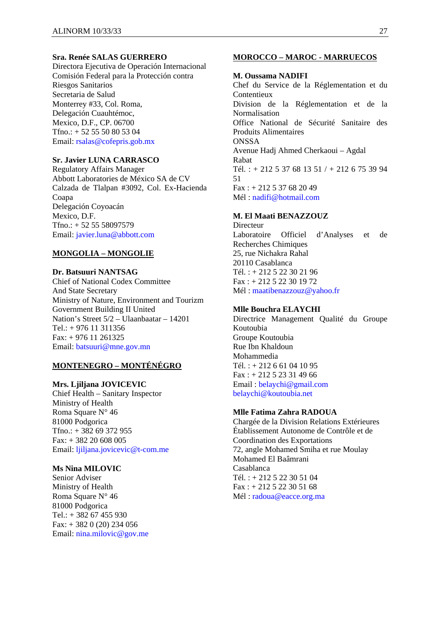### **Sra. Renée SALAS GUERRERO**

Directora Ejecutiva de Operación Internacional Comisión Federal para la Protección contra Riesgos Sanitarios Secretaria de Salud Monterrey #33, Col. Roma, Delegación Cuauhtémoc, Mexico, D.F., CP. 06700 Tfno.: + 52 55 50 80 53 04 Email: rsalas@cofepris.gob.mx

### **Sr. Javier LUNA CARRASCO**

Regulatory Affairs Manager Abbott Laboratories de México SA de CV Calzada de Tlalpan #3092, Col. Ex-Hacienda Coapa Delegación Coyoacán Mexico, D.F. Tfno.: + 52 55 58097579 Email: javier.luna@abbott.com

#### **MONGOLIA – MONGOLIE**

**Dr. Batsuuri NANTSAG**  Chief of National Codex Committee And State Secretary Ministry of Nature, Environment and Tourizm Government Building II United Nation's Street 5/2 – Ulaanbaatar – 14201 Tel.: + 976 11 311356 Fax: + 976 11 261325 Email: batsuuri@mne.gov.mn

### **MONTENEGRO – MONTÉNÉGRO**

#### **Mrs. Ljiljana JOVICEVIC**

Chief Health – Sanitary Inspector Ministry of Health Roma Square N° 46 81000 Podgorica Tfno.: + 382 69 372 955 Fax: + 382 20 608 005 Email: ljiljana.jovicevic@t-com.me

### **Ms Nina MILOVIC**

Senior Adviser Ministry of Health Roma Square N° 46 81000 Podgorica Tel.:  $+ 382 67 455 930$  $Fax: + 3820(20)234056$ Email: nina.milovic@gov.me

#### **MOROCCO – MAROC - MARRUECOS**

#### **M. Oussama NADIFI**

Chef du Service de la Réglementation et du Contentieux Division de la Réglementation et de la Normalisation Office National de Sécurité Sanitaire des Produits Alimentaires **ONSSA** Avenue Hadj Ahmed Cherkaoui – Agdal Rabat Tél. : + 212 5 37 68 13 51 / + 212 6 75 39 94 51  $Fax: + 212537682049$ Mél : nadifi@hotmail.com

### **M. El Maati BENAZZOUZ**

Directeur Laboratoire Officiel d'Analyses et de Recherches Chimiques 25, rue Nichakra Rahal 20110 Casablanca  $Tél + 212522302196$ Fax : + 212 5 22 30 19 72 Mél : maatibenazzouz@yahoo.fr

#### **Mlle Bouchra ELAYCHI**

Directrice Management Qualité du Groupe Koutoubia Groupe Koutoubia Rue Ibn Khaldoun Mohammedia Tél. : + 212 6 61 04 10 95 Fax : + 212 5 23 31 49 66 Email : belaychi@gmail.com belaychi@koutoubia.net

#### **Mlle Fatima Zahra RADOUA**

Chargée de la Division Relations Extérieures Établissement Autonome de Contrôle et de Coordination des Exportations 72, angle Mohamed Smiha et rue Moulay Mohamed El Baâmrani Casablanca Tél. : + 212 5 22 30 51 04 Fax : + 212 5 22 30 51 68 Mél : radoua@eacce.org.ma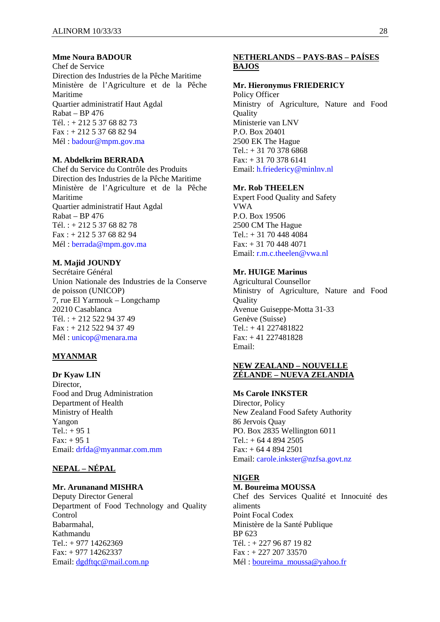#### **Mme Noura BADOUR**

Chef de Service Direction des Industries de la Pêche Maritime Ministère de l'Agriculture et de la Pêche Maritime Quartier administratif Haut Agdal Rabat – BP 476 Tél. : + 212 5 37 68 82 73 Fax : + 212 5 37 68 82 94 Mél : badour@mpm.gov.ma

#### **M. Abdelkrim BERRADA**

Chef du Service du Contrôle des Produits Direction des Industries de la Pêche Maritime Ministère de l'Agriculture et de la Pêche Maritime Quartier administratif Haut Agdal Rabat – BP 476 Tél. : + 212 5 37 68 82 78 Fax : + 212 5 37 68 82 94 Mél : berrada@mpm.gov.ma

## **M. Majid JOUNDY**

Secrétaire Général Union Nationale des Industries de la Conserve de poisson (UNICOP) 7, rue El Yarmouk – Longchamp 20210 Casablanca Tél. : + 212 522 94 37 49 Fax : + 212 522 94 37 49 Mél : unicop@menara.ma

#### **MYANMAR**

**Dr Kyaw LIN**  Director, Food and Drug Administration Department of Health Ministry of Health Yangon  $Tel: + 951$ Fax: + 95 1 Email: drfda@myanmar.com.mm

## **NEPAL – NÉPAL**

#### **Mr. Arunanand MISHRA**

Deputy Director General Department of Food Technology and Quality Control Babarmahal, Kathmandu Tel.: + 977 14262369 Fax: + 977 14262337 Email: dgdftqc@mail.com.np

# **NETHERLANDS – PAYS-BAS – PAÍSES BAJOS**

#### **Mr. Hieronymus FRIEDERICY**

Policy Officer Ministry of Agriculture, Nature and Food **Ouality** Ministerie van LNV P.O. Box 20401 2500 EK The Hague  $Tel.: + 31703786868$ Fax: + 31 70 378 6141 Email: h.friedericy@minlnv.nl

#### **Mr. Rob THEELEN**

Expert Food Quality and Safety VWA P.O. Box 19506 2500 CM The Hague Tel.: + 31 70 448 4084 Fax: + 31 70 448 4071 Email: r.m.c.theelen@vwa.nl

## **Mr. HUIGE Marinus**

Agricultural Counsellor Ministry of Agriculture, Nature and Food **Quality** Avenue Guiseppe-Motta 31-33 Genève (Suisse) Tel.: + 41 227481822 Fax: + 41 227481828 Email:

## **NEW ZEALAND – NOUVELLE ZÉLANDE – NUEVA ZELANDIA**

#### **Ms Carole INKSTER**

Director, Policy New Zealand Food Safety Authority 86 Jervois Quay PO. Box 2835 Wellington 6011 Tel.: + 64 4 894 2505 Fax: + 64 4 894 2501 Email: carole.inkster@nzfsa.govt.nz

#### **NIGER**

#### **M. Boureima MOUSSA**

Chef des Services Qualité et Innocuité des aliments Point Focal Codex Ministère de la Santé Publique BP 623 Tél. : + 227 96 87 19 82 Fax : + 227 207 33570 Mél : boureima\_moussa@yahoo.fr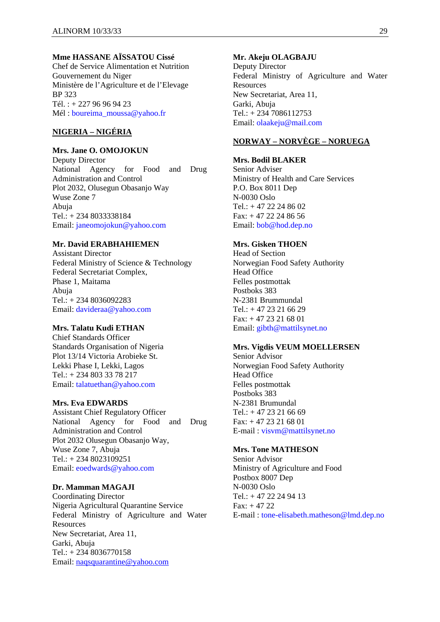## **Mme HASSANE AÏSSATOU Cissé**

Chef de Service Alimentation et Nutrition Gouvernement du Niger Ministère de l'Agriculture et de l'Elevage BP 323 Tél. : + 227 96 96 94 23 Mél : boureima\_moussa@yahoo.fr

## **NIGERIA – NIGÉRIA**

## **Mrs. Jane O. OMOJOKUN**

Deputy Director National Agency for Food and Drug Administration and Control Plot 2032, Olusegun Obasanjo Way Wuse Zone 7 Abuja Tel.: + 234 8033338184 Email: janeomojokun@yahoo.com

#### **Mr. David ERABHAHIEMEN**

Assistant Director Federal Ministry of Science & Technology Federal Secretariat Complex, Phase 1, Maitama Abuja Tel.: + 234 8036092283 Email: davideraa@yahoo.com

### **Mrs. Talatu Kudi ETHAN**

Chief Standards Officer Standards Organisation of Nigeria Plot 13/14 Victoria Arobieke St. Lekki Phase I, Lekki, Lagos Tel.: + 234 803 33 78 217 Email: talatuethan@yahoo.com

### **Mrs. Eva EDWARDS**

Assistant Chief Regulatory Officer National Agency for Food and Drug Administration and Control Plot 2032 Olusegun Obasanjo Way, Wuse Zone 7, Abuja Tel.: + 234 8023109251 Email: eoedwards@yahoo.com

#### **Dr. Mamman MAGAJI**

Coordinating Director Nigeria Agricultural Quarantine Service Federal Ministry of Agriculture and Water Resources New Secretariat, Area 11, Garki, Abuja Tel.: + 234 8036770158 Email: naqsquarantine@yahoo.com

#### **Mr. Akeju OLAGBAJU**

Deputy Director Federal Ministry of Agriculture and Water **Resources** New Secretariat, Area 11, Garki, Abuja Tel.: + 234 7086112753 Email: olaakeju@mail.com

## **NORWAY – NORVÈGE – NORUEGA**

#### **Mrs. Bodil BLAKER**

Senior Adviser Ministry of Health and Care Services P.O. Box 8011 Dep N-0030 Oslo Tel.: + 47 22 24 86 02  $Fax: + 47 22 24 86 56$ Email: bob@hod.dep.no

### **Mrs. Gisken THOEN**

Head of Section Norwegian Food Safety Authority Head Office Felles postmottak Postboks 383 N-2381 Brummundal Tel.:  $+4723216629$ Fax: + 47 23 21 68 01 Email: gibth@mattilsynet.no

## **Mrs. Vigdis VEUM MOELLERSEN**

Senior Advisor Norwegian Food Safety Authority Head Office Felles postmottak Postboks 383 N-2381 Brumundal  $Tel.: +4723216669$ Fax: + 47 23 21 68 01 E-mail : visvm@mattilsynet.no

## **Mrs. Tone MATHESON**

Senior Advisor Ministry of Agriculture and Food Postbox 8007 Dep N-0030 Oslo Tel.: + 47 22 24 94 13  $Fax: + 47 22$ E-mail : tone-elisabeth.matheson@lmd.dep.no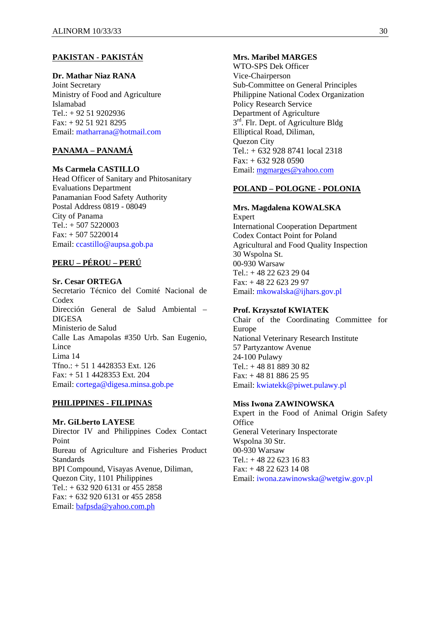## **PAKISTAN - PAKISTÁN**

# **Dr. Mathar Niaz RANA**

Joint Secretary Ministry of Food and Agriculture Islamabad Tel.: + 92 51 9202936 Fax: + 92 51 921 8295 Email: matharrana@hotmail.com

# **PANAMA – PANAMÁ**

### **Ms Carmela CASTILLO**

Head Officer of Sanitary and Phitosanitary Evaluations Department Panamanian Food Safety Authority Postal Address 0819 - 08049 City of Panama Tel.: + 507 5220003  $Fax: + 5075220014$ Email: ccastillo@aupsa.gob.pa

# **PERU – PÉROU – PERÚ**

### **Sr. Cesar ORTEGA**

Secretario Técnico del Comité Nacional de **Codex** Dirección General de Salud Ambiental – DIGESA Ministerio de Salud Calle Las Amapolas #350 Urb. San Eugenio, Lince Lima 14 Tfno.: + 51 1 4428353 Ext. 126 Fax: + 51 1 4428353 Ext. 204 Email: cortega@digesa.minsa.gob.pe

## **PHILIPPINES - FILIPINAS**

#### **Mr. GiLberto LAYESE**

Director IV and Philippines Codex Contact Point Bureau of Agriculture and Fisheries Product **Standards** BPI Compound, Visayas Avenue, Diliman, Quezon City, 1101 Philippines Tel.: + 632 920 6131 or 455 2858 Fax: + 632 920 6131 or 455 2858 Email: bafpsda@yahoo.com.ph

#### **Mrs. Maribel MARGES**

WTO-SPS Dek Officer Vice-Chairperson Sub-Committee on General Principles Philippine National Codex Organization Policy Research Service Department of Agriculture  $3<sup>rd</sup>$ . Flr. Dept. of Agriculture Bldg Elliptical Road, Diliman, Quezon City  $Tel: + 6329288741$  local 2318  $Fax: + 6329280590$ Email: mgmarges@yahoo.com

### **POLAND – POLOGNE - POLONIA**

**Mrs. Magdalena KOWALSKA**  Expert International Cooperation Department Codex Contact Point for Poland Agricultural and Food Quality Inspection 30 Wspolna St. 00-930 Warsaw Tel.: + 48 22 623 29 04 Fax: + 48 22 623 29 97 Email: mkowalska@ijhars.gov.pl

#### **Prof. Krzysztof KWIATEK**

Chair of the Coordinating Committee for Europe National Veterinary Research Institute 57 Partyzantow Avenue 24-100 Pulawy Tel.: + 48 81 889 30 82 Fax: + 48 81 886 25 95 Email: kwiatekk@piwet.pulawy.pl

### **Miss Iwona ZAWINOWSKA**

Expert in the Food of Animal Origin Safety **Office** General Veterinary Inspectorate Wspolna 30 Str. 00-930 Warsaw Tel.:  $+48226231683$ Fax: + 48 22 623 14 08 Email: iwona.zawinowska@wetgiw.gov.pl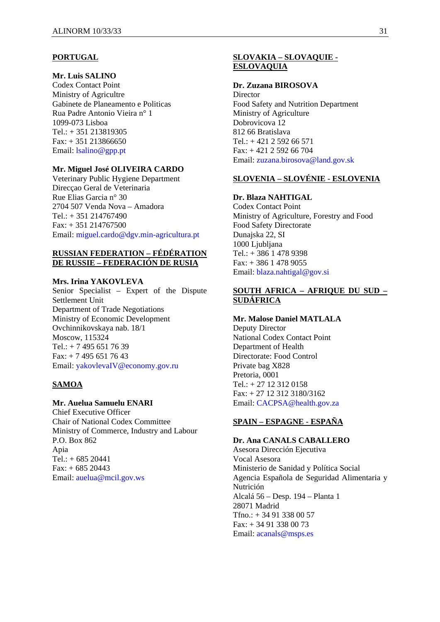#### **PORTUGAL**

## **Mr. Luis SALINO**

Codex Contact Point Ministry of Agricultre Gabinete de Planeamento e Politicas Rua Padre Antonio Vieira n° 1 1099-073 Lisboa Tel.: + 351 213819305 Fax: + 351 213866650 Email: lsalino@gpp.pt

#### **Mr. Miguel José OLIVEIRA CARDO**

Veterinary Public Hygiene Department Direcçao Geral de Veterinaria Rue Elias Garcia n° 30 2704 507 Venda Nova – Amadora Tel.: + 351 214767490 Fax: + 351 214767500 Email: miguel.cardo@dgv.min-agricultura.pt

### **RUSSIAN FEDERATION – FÉDÉRATION DE RUSSIE – FEDERACIÓN DE RUSIA**

#### **Mrs. Irina YAKOVLEVA**

Senior Specialist – Expert of the Dispute Settlement Unit Department of Trade Negotiations Ministry of Economic Development Ovchinnikovskaya nab. 18/1 Moscow, 115324  $Tel + 7 495 651 76 39$ Fax: + 7 495 651 76 43 Email: yakovlevaIV@economy.gov.ru

# **SAMOA**

## **Mr. Auelua Samuelu ENARI**

Chief Executive Officer Chair of National Codex Committee Ministry of Commerce, Industry and Labour P.O. Box 862 Apia Tel.: + 685 20441  $Fax: + 68520443$ Email: auelua@mcil.gov.ws

## **SLOVAKIA – SLOVAQUIE - ESLOVAQUIA**

#### **Dr. Zuzana BIROSOVA**

**Director** Food Safety and Nutrition Department Ministry of Agriculture Dobrovicova 12 812 66 Bratislava Tel.:  $+421$  2 592 66 571 Fax: + 421 2 592 66 704 Email: zuzana.birosova@land.gov.sk

### **SLOVENIA – SLOVÉNIE - ESLOVENIA**

#### **Dr. Blaza NAHTIGAL**

Codex Contact Point Ministry of Agriculture, Forestry and Food Food Safety Directorate Dunajska 22, SI 1000 Ljubljana Tel.: + 386 1 478 9398 Fax: + 386 1 478 9055 Email: blaza.nahtigal@gov.si

### **SOUTH AFRICA – AFRIQUE DU SUD – SUDÁFRICA**

## **Mr. Malose Daniel MATLALA**

Deputy Director National Codex Contact Point Department of Health Directorate: Food Control Private bag X828 Pretoria, 0001 Tel.: + 27 12 312 0158 Fax: + 27 12 312 3180/3162 Email: CACPSA@health.gov.za

# **SPAIN – ESPAGNE - ESPAÑA**

**Dr. Ana CANALS CABALLERO**  Asesora Dirección Ejecutiva Vocal Asesora Ministerio de Sanidad y Política Social Agencia Española de Seguridad Alimentaria y Nutrición Alcalá 56 – Desp. 194 – Planta 1 28071 Madrid  $Tfno.: + 34913380057$ Fax: + 34 91 338 00 73 Email: acanals@msps.es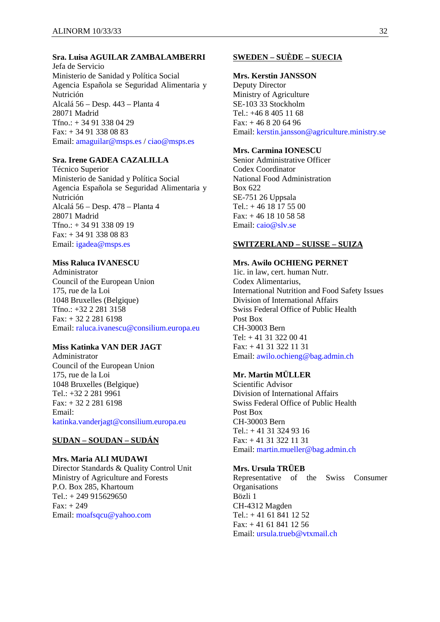### **Sra. Luisa AGUILAR ZAMBALAMBERRI**

Jefa de Servicio Ministerio de Sanidad y Política Social Agencia Española se Seguridad Alimentaria y Nutrición Alcalá 56 – Desp. 443 – Planta 4 28071 Madrid Tfno.: + 34 91 338 04 29 Fax: + 34 91 338 08 83 Email: amaguilar@msps.es / ciao@msps.es

## **Sra. Irene GADEA CAZALILLA**

Técnico Superior Ministerio de Sanidad y Política Social Agencia Española se Seguridad Alimentaria y Nutrición Alcalá 56 – Desp. 478 – Planta 4 28071 Madrid Tfno.: + 34 91 338 09 19 Fax: + 34 91 338 08 83 Email: igadea@msps.es

### **Miss Raluca IVANESCU**

Administrator Council of the European Union 175, rue de la Loi 1048 Bruxelles (Belgique) Tfno.: +32 2 281 3158 Fax: + 32 2 281 6198 Email: raluca.ivanescu@consilium.europa.eu

# **Miss Katinka VAN DER JAGT**

Administrator Council of the European Union 175, rue de la Loi 1048 Bruxelles (Belgique) Tel.: +32 2 281 9961 Fax: + 32 2 281 6198 Email: katinka.vanderjagt@consilium.europa.eu

# **SUDAN – SOUDAN – SUDÁN**

**Mrs. Maria ALI MUDAWI**  Director Standards & Quality Control Unit Ministry of Agriculture and Forests P.O. Box 285, Khartoum Tel.: + 249 915629650  $Fax: + 249$ Email: moafsqcu@yahoo.com

# **SWEDEN – SUÈDE – SUECIA**

#### **Mrs. Kerstin JANSSON**

Deputy Director Ministry of Agriculture SE-103 33 Stockholm Tel.: +46 8 405 11 68  $Fax: + 46 8 20 64 96$ Email: kerstin.jansson@agriculture.ministry.se

## **Mrs. Carmina IONESCU**

Senior Administrative Officer Codex Coordinator National Food Administration Box 622 SE-751 26 Uppsala Tel.:  $+4618175500$  $Fax: + 46$  18 10 58 58 Email: caio@slv.se

#### **SWITZERLAND – SUISSE – SUIZA**

## **Mrs. Awilo OCHIENG PERNET**

1ic. in law, cert. human Nutr. Codex Alimentarius, International Nutrition and Food Safety Issues Division of International Affairs Swiss Federal Office of Public Health Post Box CH-30003 Bern Tel: + 41 31 322 00 41 Fax: + 41 31 322 11 31 Email: awilo.ochieng@bag.admin.ch

# **Mr. Martin MÜLLER**

Scientific Advisor Division of International Affairs Swiss Federal Office of Public Health Post Box CH-30003 Bern Tel.: + 41 31 324 93 16 Fax: + 41 31 322 11 31 Email: martin.mueller@bag.admin.ch

### **Mrs. Ursula TRÜEB**

Representative of the Swiss Consumer **Organisations** Bözli 1 CH-4312 Magden Tel.: + 41 61 841 12 52 Fax: + 41 61 841 12 56 Email: ursula.trueb@vtxmail.ch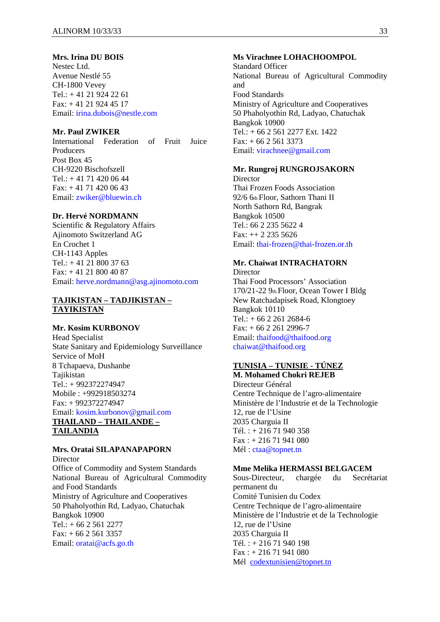#### **Mrs. Irina DU BOIS**

Nestec Ltd. Avenue Nestlé 55 CH-1800 Vevey Tel.: + 41 21 924 22 61 Fax: + 41 21 924 45 17 Email: irina.dubois@nestle.com

## **Mr. Paul ZWIKER**

International Federation of Fruit Juice Producers Post Box 45 CH-9220 Bischofszell  $Tel: +41714200644$ Fax: + 41 71 420 06 43 Email: zwiker@bluewin.ch

### **Dr. Hervé NORDMANN**

Scientific & Regulatory Affairs Ajinomoto Switzerland AG En Crochet 1 CH-1143 Apples Tel.:  $+41$  21 800 37 63 Fax: + 41 21 800 40 87 Email: herve.nordmann@asg.ajinomoto.com

### **TAJIKISTAN – TADJIKISTAN – TAYIKISTAN**

#### **Mr. Kosim KURBONOV**

Head Specialist State Sanitary and Epidemiology Surveillance Service of MoH 8 Tchapaeva, Dushanbe Tajikistan Tel.: + 992372274947 Mobile : +992918503274 Fax: + 992372274947 Email: kosim.kurbonov@gmail.com **THAILAND – THAILANDE – TAILANDIA**

# **Mrs. Oratai SILAPANAPAPORN**

Director Office of Commodity and System Standards National Bureau of Agricultural Commodity and Food Standards Ministry of Agriculture and Cooperatives 50 Phaholyothin Rd, Ladyao, Chatuchak Bangkok 10900 Tel.:  $+ 6625612277$  $Fax: + 6625613357$ Email: oratai@acfs.go.th

#### **Ms Virachnee LOHACHOOMPOL**

Standard Officer National Bureau of Agricultural Commodity and Food Standards Ministry of Agriculture and Cooperatives 50 Phaholyothin Rd, Ladyao, Chatuchak Bangkok 10900 Tel.: + 66 2 561 2277 Ext. 1422  $Fax: + 6625613373$ Email: virachnee@gmail.com

### **Mr. Rungroj RUNGROJSAKORN**

**Director** Thai Frozen Foods Association 92/6 6th Floor, Sathorn Thani II North Sathorn Rd, Bangrak Bangkok 10500 Tel.: 66 2 235 5622 4 Fax: ++ 2 235 5626 Email: thai-frozen@thai-frozen.or.th

# **Mr. Chaiwat INTRACHATORN**

**Director** Thai Food Processors' Association 170/21-22 9th Floor, Ocean Tower I Bldg New Ratchadapisek Road, Klongtoey Bangkok 10110  $Tel.: + 6622612684-6$  $Fax: + 6622612996-7$ Email: thaifood@thaifood.org chaiwat@thaifood.org

# **TUNISIA – TUNISIE - TÚNEZ**

**M. Mohamed Chokri REJEB**  Directeur Général Centre Technique de l'agro-alimentaire Ministère de l'Industrie et de la Technologie 12, rue de l'Usine 2035 Charguia II Tél. : + 216 71 940 358 Fax : + 216 71 941 080 Mél : ctaa@topnet.tn

### **Mme Melika HERMASSI BELGACEM**

Sous-Directeur, chargée du Secrétariat permanent du Comité Tunisien du Codex Centre Technique de l'agro-alimentaire Ministère de l'Industrie et de la Technologie 12, rue de l'Usine 2035 Charguia II Tél. : + 216 71 940 198 Fax : + 216 71 941 080 Mél codextunisien@topnet.tn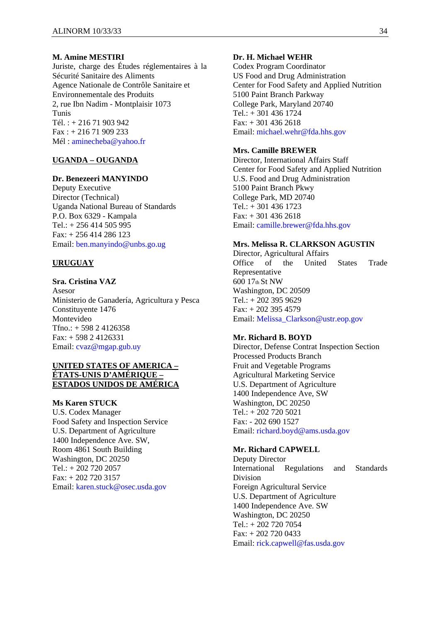### **M. Amine MESTIRI**

Juriste, charge des Études réglementaires à la Sécurité Sanitaire des Aliments Agence Nationale de Contrôle Sanitaire et Environnementale des Produits 2, rue Ibn Nadim - Montplaisir 1073 Tunis Tél. : + 216 71 903 942 Fax : + 216 71 909 233 Mél : aminecheba@yahoo.fr

### **UGANDA – OUGANDA**

#### **Dr. Benezeeri MANYINDO**

Deputy Executive Director (Technical) Uganda National Bureau of Standards P.O. Box 6329 - Kampala Tel.: + 256 414 505 995 Fax: + 256 414 286 123 Email: ben.manyindo@unbs.go.ug

### **URUGUAY**

### **Sra. Cristina VAZ**

Asesor Ministerio de Ganadería, Agricultura y Pesca Constituyente 1476 Montevideo Tfno.: + 598 2 4126358 Fax: + 598 2 4126331 Email: cvaz@mgap.gub.uy

#### **UNITED STATES OF AMERICA – ÉTATS-UNIS D'AMÉRIQUE – ESTADOS UNIDOS DE AMÉRICA**

### **Ms Karen STUCK**

U.S. Codex Manager Food Safety and Inspection Service U.S. Department of Agriculture 1400 Independence Ave. SW, Room 4861 South Building Washington, DC 20250 Tel.: + 202 720 2057 Fax: + 202 720 3157 Email: karen.stuck@osec.usda.gov

#### **Dr. H. Michael WEHR**

Codex Program Coordinator US Food and Drug Administration Center for Food Safety and Applied Nutrition 5100 Paint Branch Parkway College Park, Maryland 20740 Tel.: + 301 436 1724  $Fax: + 3014362618$ Email: michael.wehr@fda.hhs.gov

### **Mrs. Camille BREWER**

Director, International Affairs Staff Center for Food Safety and Applied Nutrition U.S. Food and Drug Administration 5100 Paint Branch Pkwy College Park, MD 20740 Tel.: + 301 436 1723  $Fax: + 3014362618$ Email: camille.brewer@fda.hhs.gov

#### **Mrs. Melissa R. CLARKSON AGUSTIN**

Director, Agricultural Affairs Office of the United States Trade Representative 600 17th St NW Washington, DC 20509 Tel.: + 202 395 9629 Fax: + 202 395 4579 Email: Melissa\_Clarkson@ustr.eop.gov

#### **Mr. Richard B. BOYD**

Director, Defense Contrat Inspection Section Processed Products Branch Fruit and Vegetable Programs Agricultural Marketing Service U.S. Department of Agriculture 1400 Independence Ave, SW Washington, DC 20250 Tel.: + 202 720 5021 Fax: - 202 690 1527 Email: richard.boyd@ams.usda.gov

### **Mr. Richard CAPWELL**

Deputy Director International Regulations and Standards Division Foreign Agricultural Service U.S. Department of Agriculture 1400 Independence Ave. SW Washington, DC 20250 Tel.: + 202 720 7054 Fax: + 202 720 0433 Email: rick.capwell@fas.usda.gov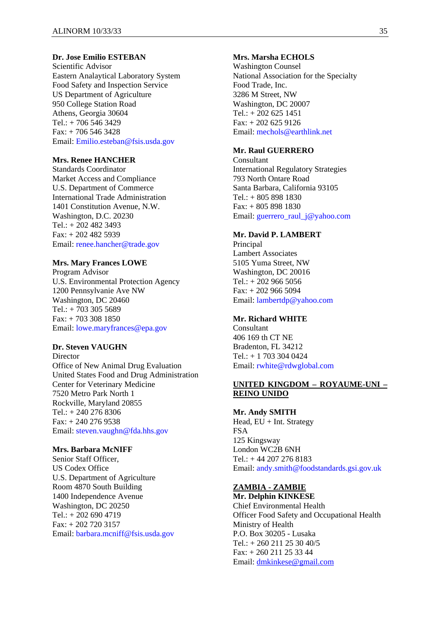### **Dr. Jose Emilio ESTEBAN**

Scientific Advisor Eastern Analaytical Laboratory System Food Safety and Inspection Service US Department of Agriculture 950 College Station Road Athens, Georgia 30604  $Tel.: + 706, 546, 3429$ Fax: + 706 546 3428 Email: Emilio.esteban@fsis.usda.gov

### **Mrs. Renee HANCHER**

Standards Coordinator Market Access and Compliance U.S. Department of Commerce International Trade Administration 1401 Constitution Avenue, N.W. Washington, D.C. 20230 Tel.: + 202 482 3493 Fax: + 202 482 5939 Email: renee.hancher@trade.gov

#### **Mrs. Mary Frances LOWE**

Program Advisor U.S. Environmental Protection Agency 1200 Pennsylvanie Ave NW Washington, DC 20460 Tel.: + 703 305 5689 Fax: + 703 308 1850 Email: lowe.maryfrances@epa.gov

# **Dr. Steven VAUGHN**

**Director** Office of New Animal Drug Evaluation United States Food and Drug Administration Center for Veterinary Medicine 7520 Metro Park North 1 Rockville, Maryland 20855 Tel.: + 240 276 8306 Fax: + 240 276 9538 Email: steven.vaughn@fda.hhs.gov

## **Mrs. Barbara McNIFF**

Senior Staff Officer, US Codex Office U.S. Department of Agriculture Room 4870 South Building 1400 Independence Avenue Washington, DC 20250 Tel.:  $+2026904719$ Fax: + 202 720 3157 Email: barbara.mcniff@fsis.usda.gov

### **Mrs. Marsha ECHOLS**

Washington Counsel National Association for the Specialty Food Trade, Inc. 3286 M Street, NW Washington, DC 20007 Tel.: + 202 625 1451  $Fax: + 2026259126$ Email: mechols@earthlink.net

## **Mr. Raul GUERRERO**

**Consultant** International Regulatory Strategies 793 North Ontare Road Santa Barbara, California 93105 Tel.: + 805 898 1830 Fax: + 805 898 1830 Email: guerrero\_raul\_j@yahoo.com

## **Mr. David P. LAMBERT**

Principal Lambert Associates 5105 Yuma Street, NW Washington, DC 20016  $Tel.: + 2029665056$ Fax: + 202 966 5094 Email: lambertdp@yahoo.com

### **Mr. Richard WHITE**

Consultant 406 169 th CT NE Bradenton, FL 34212 Tel.: + 1 703 304 0424 Email: rwhite@rdwglobal.com

#### **UNITED KINGDOM – ROYAUME-UNI – REINO UNIDO**

**Mr. Andy SMITH**  Head, EU + Int. Strategy FSA 125 Kingsway London WC2B 6NH Tel.: + 44 207 276 8183 Email: andy.smith@foodstandards.gsi.gov.uk

#### **ZAMBIA - ZAMBIE Mr. Delphin KINKESE**

Chief Environmental Health Officer Food Safety and Occupational Health Ministry of Health P.O. Box 30205 - Lusaka  $Tel: + 260\ 211\ 25\ 30\ 40/5$ Fax: + 260 211 25 33 44 Email: dmkinkese@gmail.com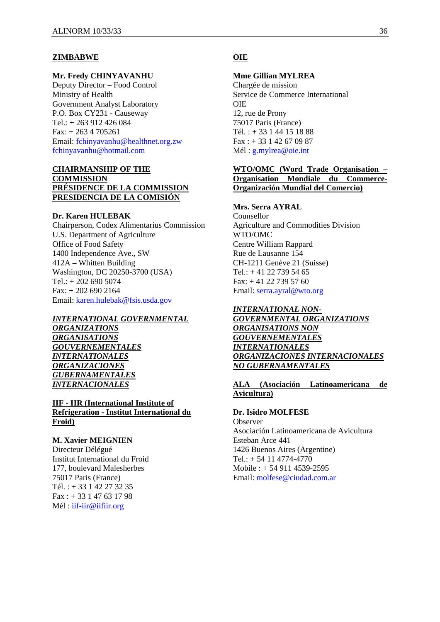#### **ZIMBABWE**

#### **Mr. Fredy CHINYAVANHU**

Deputy Director – Food Control Ministry of Health Government Analyst Laboratory P.O. Box CY231 - Causeway Tel.: + 263 912 426 084 Fax: + 263 4 705261 Email: fchinyavanhu@healthnet.org.zw fchinyavanhu@hotmail.com

### **CHAIRMANSHIP OF THE COMMISSION PRÉSIDENCE DE LA COMMISSION PRESIDENCIA DE LA COMISIÓN**

#### **Dr. Karen HULEBAK**

Chairperson, Codex Alimentarius Commission U.S. Department of Agriculture Office of Food Safety 1400 Independence Ave., SW 412A – Whitten Building Washington, DC 20250-3700 (USA)  $Tel.: + 2026905074$ Fax: + 202 690 2164 Email: karen.hulebak@fsis.usda.gov

## *INTERNATIONAL GOVERNMENTAL ORGANIZATIONS ORGANISATIONS GOUVERNEMENTALES INTERNATIONALES ORGANIZACIONES GUBERNAMENTALES INTERNACIONALES*

### **IIF - IIR (International Institute of Refrigeration - Institut International du Froid)**

### **M. Xavier MEIGNIEN**

Directeur Délégué Institut International du Froid 177, boulevard Malesherbes 75017 Paris (France) Tél. : + 33 1 42 27 32 35 Fax : + 33 1 47 63 17 98 Mél : iif-iir@iifiir.org

#### **OIE**

#### **Mme Gillian MYLREA**

Chargée de mission Service de Commerce International OIE 12, rue de Prony 75017 Paris (France) Tél. : + 33 1 44 15 18 88 Fax : + 33 1 42 67 09 87 Mél : g.mylrea@oie.int

### **WTO/OMC (Word Trade Organisation – Organisation Mondiale du Commerce-Organización Mundial del Comercio)**

## **Mrs. Serra AYRAL**

Counsellor Agriculture and Commodities Division WTO/OMC Centre William Rappard Rue de Lausanne 154 CH-1211 Genève 21 (Suisse) Tel.:  $+41$  22 739 54 65 Fax: + 41 22 739 57 60 Email: serra.ayral@wto.org

### *INTERNATIONAL NON-*

*GOVERNMENTAL ORGANIZATIONS ORGANISATIONS NON GOUVERNEMENTALES INTERNATIONALES ORGANIZACIONES INTERNACIONALES NO GUBERNAMENTALES*

### **ALA (Asociación Latinoamericana de Avicultura)**

#### **Dr. Isidro MOLFESE**

**Observer** Asociación Latinoamericana de Avicultura Esteban Arce 441 1426 Buenos Aires (Argentine) Tel.: + 54 11 4774-4770 Mobile : + 54 911 4539-2595 Email: molfese@ciudad.com.ar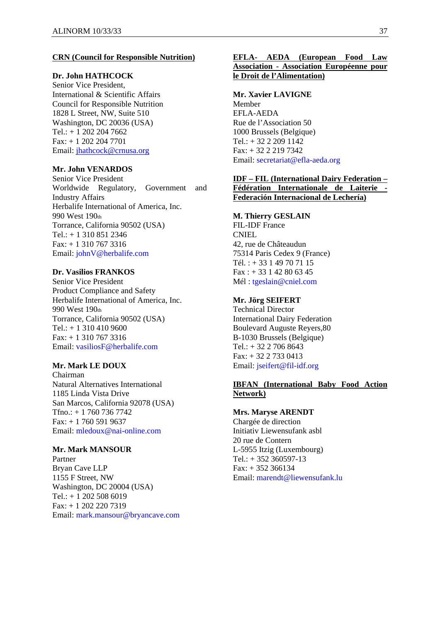### **CRN (Council for Responsible Nutrition)**

# **Dr. John HATHCOCK**

Senior Vice President, International & Scientific Affairs Council for Responsible Nutrition 1828 L Street, NW, Suite 510 Washington, DC 20036 (USA) Tel.: + 1 202 204 7662 Fax: + 1 202 204 7701 Email: jhathcock@crnusa.org

# **Mr. John VENARDOS**

Senior Vice President Worldwide Regulatory, Government and Industry Affairs Herbalife International of America, Inc. 990 West 190th Torrance, California 90502 (USA) Tel.: + 1 310 851 2346 Fax: + 1 310 767 3316 Email: johnV@herbalife.com

#### **Dr. Vasilios FRANKOS**

Senior Vice President Product Compliance and Safety Herbalife International of America, Inc. 990 West 190th Torrance, California 90502 (USA)  $Tel.: + 13104109600$ Fax: + 1 310 767 3316 Email: vasiliosF@herbalife.com

### **Mr. Mark LE DOUX**

Chairman Natural Alternatives International 1185 Linda Vista Drive San Marcos, California 92078 (USA)  $Tfno.: + 17607367742$ Fax: + 1 760 591 9637 Email: mledoux@nai-online.com

#### **Mr. Mark MANSOUR**

Partner Bryan Cave LLP 1155 F Street, NW Washington, DC 20004 (USA) Tel.: + 1 202 508 6019 Fax: + 1 202 220 7319 Email: mark.mansour@bryancave.com

## **EFLA- AEDA (European Food Law Association - Association Européenne pour le Droit de l'Alimentation)**

**Mr. Xavier LAVIGNE**  Member EFLA-AEDA Rue de l'Association 50 1000 Brussels (Belgique) Tel.: + 32 2 209 1142 Fax: + 32 2 219 7342 Email: secretariat@efla-aeda.org

### **IDF – FIL (International Dairy Federation – Fédération Internationale de Laiterie - Federación Internacional de Lechería)**

### **M. Thierry GESLAIN**

FIL-IDF France CNIEL 42, rue de Châteaudun 75314 Paris Cedex 9 (France) Tél. : + 33 1 49 70 71 15  $Fax: + 33142806345$ Mél : tgeslain@cniel.com

#### **Mr. Jörg SEIFERT**

Technical Director International Dairy Federation Boulevard Auguste Reyers,80 B-1030 Brussels (Belgique)  $Tel + 32 2 706 8643$ Fax: + 32 2 733 0413 Email: jseifert@fil-idf.org

### **IBFAN (International Baby Food Action Network)**

#### **Mrs. Maryse ARENDT**

Chargée de direction Initiativ Liewensufank asbl 20 rue de Contern L-5955 Itzig (Luxembourg) Tel.: + 352 360597-13  $Fax: + 352366134$ Email: marendt@liewensufank.lu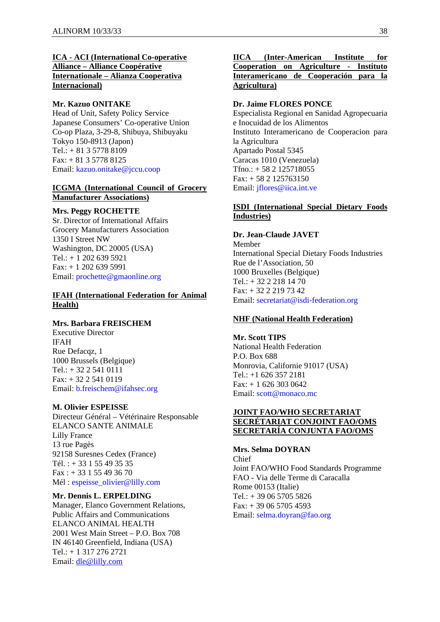## **ICA - ACI (International Co-operative Alliance – Alliance Coopérative Internationale – Alianza Cooperativa Internacional)**

### **Mr. Kazuo ONITAKE**

Head of Unit, Safety Policy Service Japanese Consumers' Co-operative Union Co-op Plaza, 3-29-8, Shibuya, Shibuyaku Tokyo 150-8913 (Japon) Tel.: + 81 3 5778 8109 Fax: + 81 3 5778 8125 Email: kazuo.onitake@jccu.coop

### **ICGMA (International Council of Grocery Manufacturer Associations)**

#### **Mrs. Peggy ROCHETTE**

Sr. Director of International Affairs Grocery Manufacturers Association 1350 I Street NW Washington, DC 20005 (USA) Tel.:  $+12026395921$ Fax: + 1 202 639 5991 Email: prochette@gmaonline.org

## **IFAH (International Federation for Animal Health)**

### **Mrs. Barbara FREISCHEM**

Executive Director IFAH Rue Defacqz, 1 1000 Brussels (Belgique) Tel.: + 32 2 541 0111 Fax: + 32 2 541 0119 Email: b.freischem@ifahsec.org

#### **M. Olivier ESPEISSE**

Directeur Général – Vétérinaire Responsable ELANCO SANTE ANIMALE Lilly France 13 rue Pagès 92158 Suresnes Cedex (France) Tél. : + 33 1 55 49 35 35 Fax : + 33 1 55 49 36 70 Mél : espeisse\_olivier@lilly.com

#### **Mr. Dennis L. ERPELDING**

Manager, Elanco Government Relations, Public Affairs and Communications ELANCO ANIMAL HEALTH 2001 West Main Street – P.O. Box 708 IN 46140 Greenfield, Indiana (USA) Tel.: + 1 317 276 2721 Email: dle@lilly.com

## **IICA (Inter-American Institute for Cooperation on Agriculture - Instituto Interamericano de Cooperación para la Agricultura)**

### **Dr. Jaime FLORES PONCE**

Especialista Regional en Sanidad Agropecuaria e Inocuidad de los Alimentos Instituto Interamericano de Cooperacion para la Agricultura Apartado Postal 5345 Caracas 1010 (Venezuela) Tfno.: + 58 2 125718055 Fax: + 58 2 125763150 Email: jflores@iica.int.ve

### **ISDI (International Special Dietary Foods Industries)**

**Dr. Jean-Claude JAVET**  Member International Special Dietary Foods Industries Rue de l'Association, 50 1000 Bruxelles (Belgique) Tel.: + 32 2 218 14 70 Fax: + 32 2 219 73 42 Email: secretariat@isdi-federation.org

### **NHF (National Health Federation)**

**Mr. Scott TIPS**  National Health Federation P.O. Box 688 Monrovia, Californie 91017 (USA) Tel.: +1 626 357 2181 Fax: + 1 626 303 0642 Email: scott@monaco.mc

### **JOINT FAO/WHO SECRETARIAT SECRÉTARIAT CONJOINT FAO/OMS SECRETARÍA CONJUNTA FAO/OMS**

### **Mrs. Selma DOYRAN**

Chief Joint FAO/WHO Food Standards Programme FAO - Via delle Terme di Caracalla Rome 00153 (Italie) Tel.: + 39 06 5705 5826  $Fax: + 390657054593$ Email: selma.doyran@fao.org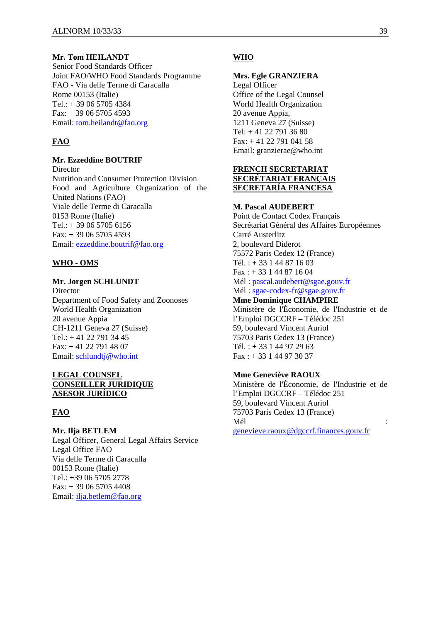### **Mr. Tom HEILANDT**

Senior Food Standards Officer Joint FAO/WHO Food Standards Programme FAO - Via delle Terme di Caracalla Rome 00153 (Italie)  $Tel: + 390657054384$ Fax: + 39 06 5705 4593 Email: tom.heilandt@fao.org

## **FAO**

#### **Mr. Ezzeddine BOUTRIF**

Director Nutrition and Consumer Protection Division Food and Agriculture Organization of the United Nations (FAO) Viale delle Terme di Caracalla 0153 Rome (Italie) Tel.:  $+390657056156$ Fax: + 39 06 5705 4593 Email: ezzeddine.boutrif@fao.org

### **WHO - OMS**

#### **Mr. Jorgen SCHLUNDT**

Director Department of Food Safety and Zoonoses World Health Organization 20 avenue Appia CH-1211 Geneva 27 (Suisse) Tel.:  $+41$  22 791 34 45 Fax: + 41 22 791 48 07 Email: schlundtj@who.int

#### **LEGAL COUNSEL CONSEILLER JURIDIQUE ASESOR JURÍDICO**

#### **FAO**

**Mr. Ilja BETLEM**  Legal Officer, General Legal Affairs Service Legal Office FAO Via delle Terme di Caracalla 00153 Rome (Italie) Tel.: +39 06 5705 2778 Fax: + 39 06 5705 4408 Email: ilja.betlem@fao.org

### **WHO**

#### **Mrs. Egle GRANZIERA**

Legal Officer Office of the Legal Counsel World Health Organization 20 avenue Appia, 1211 Geneva 27 (Suisse) Tel: + 41 22 791 36 80 Fax: + 41 22 791 041 58 Email: granzierae@who.int

### **FRENCH SECRETARIAT SECRÉTARIAT FRANÇAIS SECRETARÍA FRANCESA**

### **M. Pascal AUDEBERT**

Point de Contact Codex Français Secrétariat Général des Affaires Européennes Carré Austerlitz 2, boulevard Diderot 75572 Paris Cedex 12 (France) Tél. : + 33 1 44 87 16 03  $Fax + 33144871604$ Mél : pascal.audebert@sgae.gouv.fr Mél : sgae-codex-fr@sgae.gouv.fr **Mme Dominique CHAMPIRE** 

Ministère de l'Économie, de l'Industrie et de l'Emploi DGCCRF – Télédoc 251 59, boulevard Vincent Auriol 75703 Paris Cedex 13 (France) Tél. :  $+33144972963$ Fax : + 33 1 44 97 30 37

### **Mme Geneviève RAOUX**

Ministère de l'Économie, de l'Industrie et de l'Emploi DGCCRF – Télédoc 251 59, boulevard Vincent Auriol 75703 Paris Cedex 13 (France) Mél  $\blacksquare$ genevieve.raoux@dgccrf.finances.gouv.fr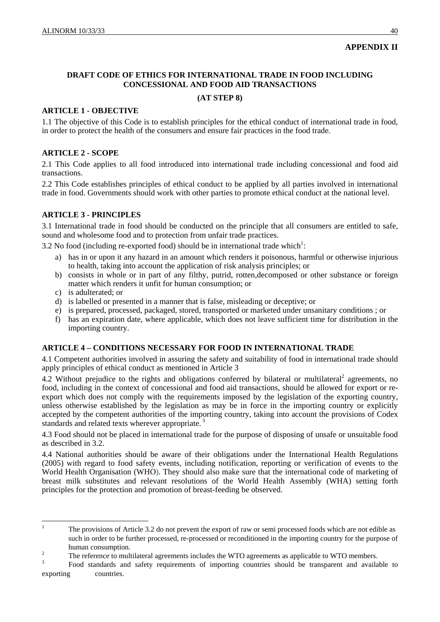# **APPENDIX II**

# **DRAFT CODE OF ETHICS FOR INTERNATIONAL TRADE IN FOOD INCLUDING CONCESSIONAL AND FOOD AID TRANSACTIONS**

## **(AT STEP 8)**

## **ARTICLE 1 - OBJECTIVE**

1.1 The objective of this Code is to establish principles for the ethical conduct of international trade in food, in order to protect the health of the consumers and ensure fair practices in the food trade.

## **ARTICLE 2 - SCOPE**

2.1 This Code applies to all food introduced into international trade including concessional and food aid transactions.

2.2 This Code establishes principles of ethical conduct to be applied by all parties involved in international trade in food. Governments should work with other parties to promote ethical conduct at the national level.

# **ARTICLE 3 - PRINCIPLES**

3.1 International trade in food should be conducted on the principle that all consumers are entitled to safe, sound and wholesome food and to protection from unfair trade practices.

3.2 No food (including re-exported food) should be in international trade which<sup>1</sup>:

- a) has in or upon it any hazard in an amount which renders it poisonous, harmful or otherwise injurious to health, taking into account the application of risk analysis principles; or
- b) consists in whole or in part of any filthy, putrid, rotten,decomposed or other substance or foreign matter which renders it unfit for human consumption; or
- c) is adulterated; or

- d) is labelled or presented in a manner that is false, misleading or deceptive; or
- e) is prepared, processed, packaged, stored, transported or marketed under unsanitary conditions ; or
- f) has an expiration date, where applicable, which does not leave sufficient time for distribution in the importing country.

# **ARTICLE 4 – CONDITIONS NECESSARY FOR FOOD IN INTERNATIONAL TRADE**

4.1 Competent authorities involved in assuring the safety and suitability of food in international trade should apply principles of ethical conduct as mentioned in Article 3

4.2 Without prejudice to the rights and obligations conferred by bilateral or multilateral<sup>2</sup> agreements, no food, including in the context of concessional and food aid transactions, should be allowed for export or reexport which does not comply with the requirements imposed by the legislation of the exporting country, unless otherwise established by the legislation as may be in force in the importing country or explicitly accepted by the competent authorities of the importing country, taking into account the provisions of Codex standards and related texts wherever appropriate.<sup>3</sup>

4.3 Food should not be placed in international trade for the purpose of disposing of unsafe or unsuitable food as described in 3.2.

4.4 National authorities should be aware of their obligations under the International Health Regulations (2005) with regard to food safety events, including notification, reporting or verification of events to the World Health Organisation (WHO). They should also make sure that the international code of marketing of breast milk substitutes and relevant resolutions of the World Health Assembly (WHA) setting forth principles for the protection and promotion of breast-feeding be observed.

<sup>1</sup> The provisions of Article 3.2 do not prevent the export of raw or semi processed foods which are not edible as such in order to be further processed, re-processed or reconditioned in the importing country for the purpose of human consumption.

<sup>2</sup> The reference to multilateral agreements includes the WTO agreements as applicable to WTO members.

<sup>3</sup> Food standards and safety requirements of importing countries should be transparent and available to exporting countries.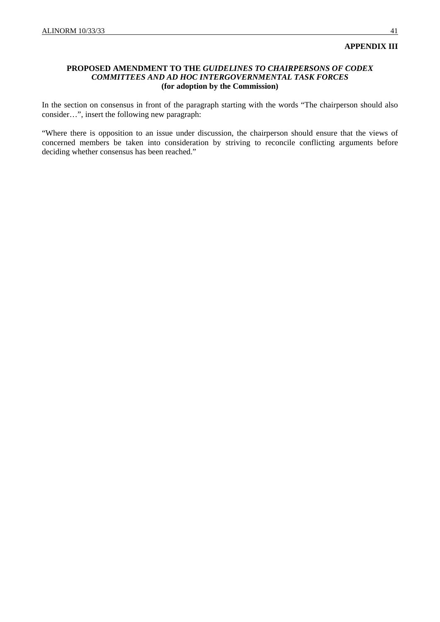#### **APPENDIX III**

#### **PROPOSED AMENDMENT TO THE** *GUIDELINES TO CHAIRPERSONS OF CODEX COMMITTEES AND AD HOC INTERGOVERNMENTAL TASK FORCES*  **(for adoption by the Commission)**

In the section on consensus in front of the paragraph starting with the words "The chairperson should also consider…", insert the following new paragraph:

"Where there is opposition to an issue under discussion, the chairperson should ensure that the views of concerned members be taken into consideration by striving to reconcile conflicting arguments before deciding whether consensus has been reached."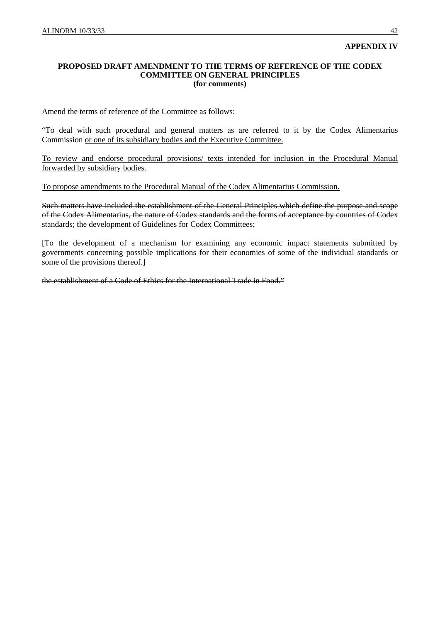## **APPENDIX IV**

#### **PROPOSED DRAFT AMENDMENT TO THE TERMS OF REFERENCE OF THE CODEX COMMITTEE ON GENERAL PRINCIPLES (for comments)**

Amend the terms of reference of the Committee as follows:

"To deal with such procedural and general matters as are referred to it by the Codex Alimentarius Commission or one of its subsidiary bodies and the Executive Committee.

To review and endorse procedural provisions/ texts intended for inclusion in the Procedural Manual forwarded by subsidiary bodies.

To propose amendments to the Procedural Manual of the Codex Alimentarius Commission.

Such matters have included the establishment of the General Principles which define the purpose and scope of the Codex Alimentarius, the nature of Codex standards and the forms of acceptance by countries of Codex standards; the development of Guidelines for Codex Committees;

[To the development of a mechanism for examining any economic impact statements submitted by governments concerning possible implications for their economies of some of the individual standards or some of the provisions thereof.]

the establishment of a Code of Ethics for the International Trade in Food."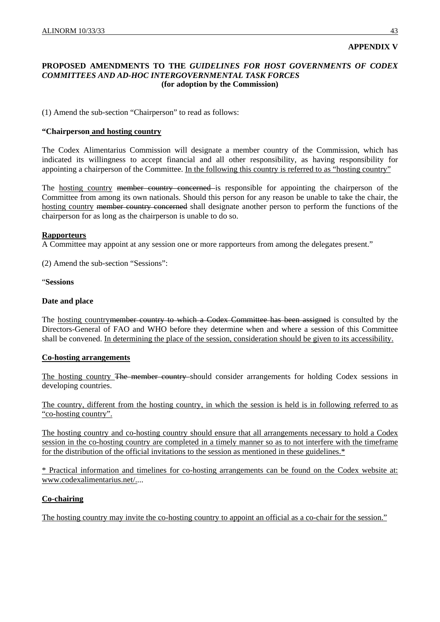## **APPENDIX V**

#### **PROPOSED AMENDMENTS TO THE** *GUIDELINES FOR HOST GOVERNMENTS OF CODEX COMMITTEES AND AD-HOC INTERGOVERNMENTAL TASK FORCES*  **(for adoption by the Commission)**

(1) Amend the sub-section "Chairperson" to read as follows:

### **"Chairperson and hosting country**

The Codex Alimentarius Commission will designate a member country of the Commission, which has indicated its willingness to accept financial and all other responsibility, as having responsibility for appointing a chairperson of the Committee. In the following this country is referred to as "hosting country"

The hosting country member country concerned is responsible for appointing the chairperson of the Committee from among its own nationals. Should this person for any reason be unable to take the chair, the hosting country member country concerned shall designate another person to perform the functions of the chairperson for as long as the chairperson is unable to do so.

#### **Rapporteurs**

A Committee may appoint at any session one or more rapporteurs from among the delegates present."

(2) Amend the sub-section "Sessions":

"**Sessions**

#### **Date and place**

The hosting countrymember country to which a Codex Committee has been assigned is consulted by the Directors-General of FAO and WHO before they determine when and where a session of this Committee shall be convened. In determining the place of the session, consideration should be given to its accessibility.

### **Co-hosting arrangements**

The hosting country The member country should consider arrangements for holding Codex sessions in developing countries.

The country, different from the hosting country, in which the session is held is in following referred to as "co-hosting country".

The hosting country and co-hosting country should ensure that all arrangements necessary to hold a Codex session in the co-hosting country are completed in a timely manner so as to not interfere with the timeframe for the distribution of the official invitations to the session as mentioned in these guidelines.\*

\* Practical information and timelines for co-hosting arrangements can be found on the Codex website at: www.codexalimentarius.net/....

### **Co-chairing**

The hosting country may invite the co-hosting country to appoint an official as a co-chair for the session."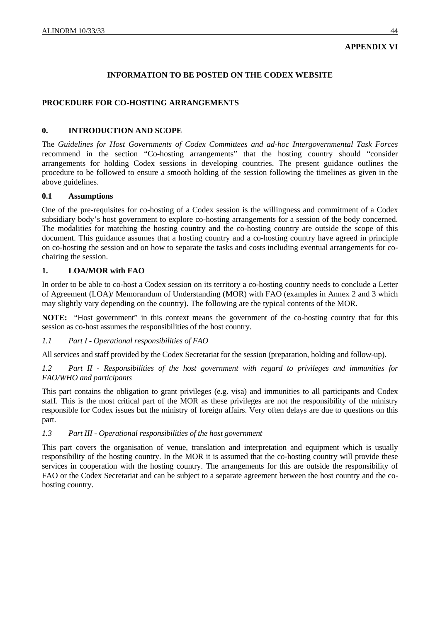# **APPENDIX VI**

# **INFORMATION TO BE POSTED ON THE CODEX WEBSITE**

## **PROCEDURE FOR CO-HOSTING ARRANGEMENTS**

### **0. INTRODUCTION AND SCOPE**

The *Guidelines for Host Governments of Codex Committees and ad-hoc Intergovernmental Task Forces* recommend in the section "Co-hosting arrangements" that the hosting country should "consider arrangements for holding Codex sessions in developing countries. The present guidance outlines the procedure to be followed to ensure a smooth holding of the session following the timelines as given in the above guidelines.

#### **0.1 Assumptions**

One of the pre-requisites for co-hosting of a Codex session is the willingness and commitment of a Codex subsidiary body's host government to explore co-hosting arrangements for a session of the body concerned. The modalities for matching the hosting country and the co-hosting country are outside the scope of this document. This guidance assumes that a hosting country and a co-hosting country have agreed in principle on co-hosting the session and on how to separate the tasks and costs including eventual arrangements for cochairing the session.

### **1. LOA/MOR with FAO**

In order to be able to co-host a Codex session on its territory a co-hosting country needs to conclude a Letter of Agreement (LOA)/ Memorandum of Understanding (MOR) with FAO (examples in Annex 2 and 3 which may slightly vary depending on the country). The following are the typical contents of the MOR.

**NOTE:** "Host government" in this context means the government of the co-hosting country that for this session as co-host assumes the responsibilities of the host country.

#### *1.1 Part I - Operational responsibilities of FAO*

All services and staff provided by the Codex Secretariat for the session (preparation, holding and follow-up).

*1.2 Part II - Responsibilities of the host government with regard to privileges and immunities for FAO/WHO and participants* 

This part contains the obligation to grant privileges (e.g. visa) and immunities to all participants and Codex staff. This is the most critical part of the MOR as these privileges are not the responsibility of the ministry responsible for Codex issues but the ministry of foreign affairs. Very often delays are due to questions on this part.

#### *1.3 Part III - Operational responsibilities of the host government*

This part covers the organisation of venue, translation and interpretation and equipment which is usually responsibility of the hosting country. In the MOR it is assumed that the co-hosting country will provide these services in cooperation with the hosting country. The arrangements for this are outside the responsibility of FAO or the Codex Secretariat and can be subject to a separate agreement between the host country and the cohosting country.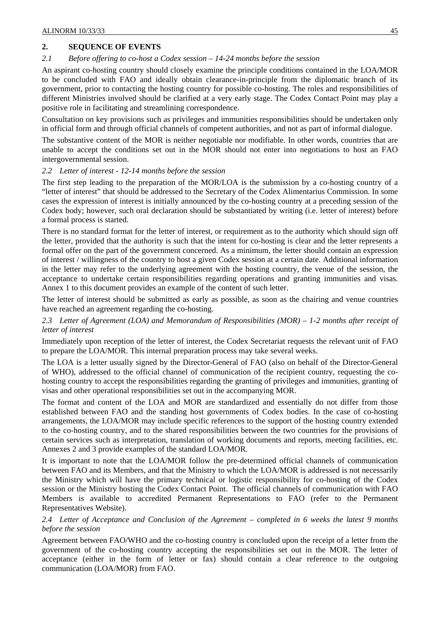# **2. SEQUENCE OF EVENTS**

## *2.1 Before offering to co-host a Codex session – 14-24 months before the session*

An aspirant co-hosting country should closely examine the principle conditions contained in the LOA/MOR to be concluded with FAO and ideally obtain clearance-in-principle from the diplomatic branch of its government, prior to contacting the hosting country for possible co-hosting. The roles and responsibilities of different Ministries involved should be clarified at a very early stage. The Codex Contact Point may play a positive role in facilitating and streamlining correspondence.

Consultation on key provisions such as privileges and immunities responsibilities should be undertaken only in official form and through official channels of competent authorities, and not as part of informal dialogue.

The substantive content of the MOR is neither negotiable nor modifiable. In other words, countries that are unable to accept the conditions set out in the MOR should not enter into negotiations to host an FAO intergovernmental session.

### *2.2 Letter of interest - 12-14 months before the session*

The first step leading to the preparation of the MOR/LOA is the submission by a co-hosting country of a "letter of interest" that should be addressed to the Secretary of the Codex Alimentarius Commission. In some cases the expression of interest is initially announced by the co-hosting country at a preceding session of the Codex body; however, such oral declaration should be substantiated by writing (i.e. letter of interest) before a formal process is started.

There is no standard format for the letter of interest, or requirement as to the authority which should sign off the letter, provided that the authority is such that the intent for co-hosting is clear and the letter represents a formal offer on the part of the government concerned. As a minimum, the letter should contain an expression of interest / willingness of the country to host a given Codex session at a certain date. Additional information in the letter may refer to the underlying agreement with the hosting country, the venue of the session, the acceptance to undertake certain responsibilities regarding operations and granting immunities and visas. Annex 1 to this document provides an example of the content of such letter.

The letter of interest should be submitted as early as possible, as soon as the chairing and venue countries have reached an agreement regarding the co-hosting.

## *2.3 Letter of Agreement (LOA) and Memorandum of Responsibilities (MOR) – 1-2 months after receipt of letter of interest*

Immediately upon reception of the letter of interest, the Codex Secretariat requests the relevant unit of FAO to prepare the LOA/MOR. This internal preparation process may take several weeks.

The LOA is a letter usually signed by the Director-General of FAO (also on behalf of the Director-General of WHO), addressed to the official channel of communication of the recipient country, requesting the cohosting country to accept the responsibilities regarding the granting of privileges and immunities, granting of visas and other operational responsibilities set out in the accompanying MOR.

The format and content of the LOA and MOR are standardized and essentially do not differ from those established between FAO and the standing host governments of Codex bodies. In the case of co-hosting arrangements, the LOA/MOR may include specific references to the support of the hosting country extended to the co-hosting country, and to the shared responsibilities between the two countries for the provisions of certain services such as interpretation, translation of working documents and reports, meeting facilities, etc. Annexes 2 and 3 provide examples of the standard LOA/MOR.

It is important to note that the LOA/MOR follow the pre-determined official channels of communication between FAO and its Members, and that the Ministry to which the LOA/MOR is addressed is not necessarily the Ministry which will have the primary technical or logistic responsibility for co-hosting of the Codex session or the Ministry hosting the Codex Contact Point. The official channels of communication with FAO Members is available to accredited Permanent Representations to FAO (refer to the Permanent Representatives Website).

### *2.4 Letter of Acceptance and Conclusion of the Agreement – completed in 6 weeks the latest 9 months before the session*

Agreement between FAO/WHO and the co-hosting country is concluded upon the receipt of a letter from the government of the co-hosting country accepting the responsibilities set out in the MOR. The letter of acceptance (either in the form of letter or fax) should contain a clear reference to the outgoing communication (LOA/MOR) from FAO.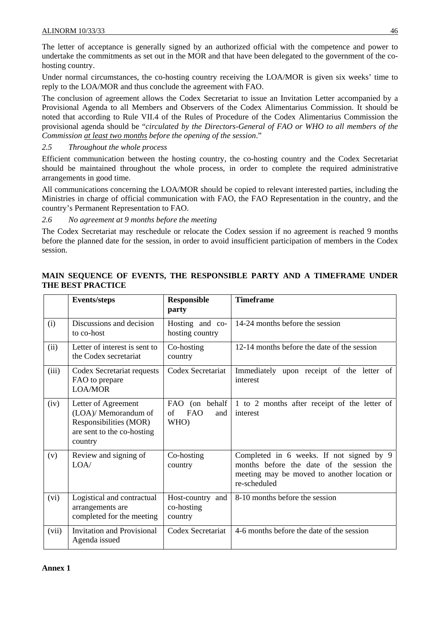The letter of acceptance is generally signed by an authorized official with the competence and power to undertake the commitments as set out in the MOR and that have been delegated to the government of the cohosting country.

Under normal circumstances, the co-hosting country receiving the LOA/MOR is given six weeks' time to reply to the LOA/MOR and thus conclude the agreement with FAO.

The conclusion of agreement allows the Codex Secretariat to issue an Invitation Letter accompanied by a Provisional Agenda to all Members and Observers of the Codex Alimentarius Commission. It should be noted that according to Rule VII.4 of the Rules of Procedure of the Codex Alimentarius Commission the provisional agenda should be "*circulated by the Directors-General of FAO or WHO to all members of the Commission at least two months before the opening of the session*."

### *2.5 Throughout the whole process*

Efficient communication between the hosting country, the co-hosting country and the Codex Secretariat should be maintained throughout the whole process, in order to complete the required administrative arrangements in good time.

All communications concerning the LOA/MOR should be copied to relevant interested parties, including the Ministries in charge of official communication with FAO, the FAO Representation in the country, and the country's Permanent Representation to FAO.

*2.6 No agreement at 9 months before the meeting*

The Codex Secretariat may reschedule or relocate the Codex session if no agreement is reached 9 months before the planned date for the session, in order to avoid insufficient participation of members in the Codex session.

# **MAIN SEQUENCE OF EVENTS, THE RESPONSIBLE PARTY AND A TIMEFRAME UNDER THE BEST PRACTICE**

|       | <b>Events/steps</b>                                                                                            | <b>Responsible</b><br>party                       | <b>Timeframe</b>                                                                                                                                     |
|-------|----------------------------------------------------------------------------------------------------------------|---------------------------------------------------|------------------------------------------------------------------------------------------------------------------------------------------------------|
| (i)   | Discussions and decision<br>to co-host                                                                         | Hosting and co-<br>hosting country                | 14-24 months before the session                                                                                                                      |
| (ii)  | Letter of interest is sent to<br>the Codex secretariat                                                         | Co-hosting<br>country                             | 12-14 months before the date of the session                                                                                                          |
| (iii) | Codex Secretariat requests<br>FAO to prepare<br>LOA/MOR                                                        | Codex Secretariat                                 | Immediately upon receipt of the letter of<br>interest                                                                                                |
| (iv)  | Letter of Agreement<br>(LOA)/ Memorandum of<br>Responsibilities (MOR)<br>are sent to the co-hosting<br>country | FAO (on behalf<br><b>FAO</b><br>of<br>and<br>WHO) | 1 to 2 months after receipt of the letter of<br>interest                                                                                             |
| (v)   | Review and signing of<br>LOA/                                                                                  | Co-hosting<br>country                             | Completed in 6 weeks. If not signed by 9<br>months before the date of the session the<br>meeting may be moved to another location or<br>re-scheduled |
| (vi)  | Logistical and contractual<br>arrangements are<br>completed for the meeting                                    | Host-country and<br>co-hosting<br>country         | 8-10 months before the session                                                                                                                       |
| (vii) | <b>Invitation and Provisional</b><br>Agenda issued                                                             | Codex Secretariat                                 | 4-6 months before the date of the session                                                                                                            |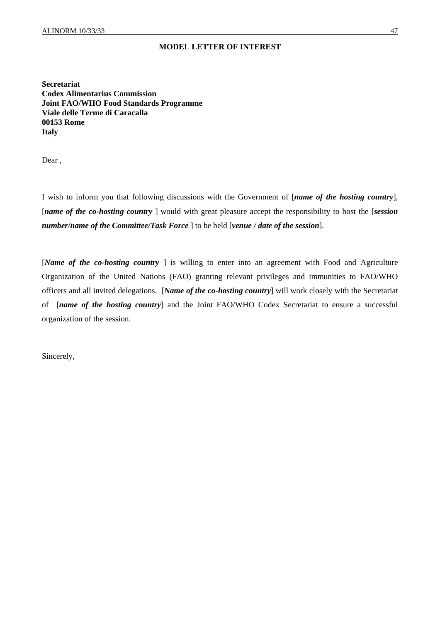### **MODEL LETTER OF INTEREST**

**Secretariat Codex Alimentarius Commission Joint FAO/WHO Food Standards Programme Viale delle Terme di Caracalla 00153 Rome Italy** 

Dear ,

I wish to inform you that following discussions with the Government of [*name of the hosting country*], [*name of the co-hosting country* ] would with great pleasure accept the responsibility to host the [*session number/name of the Committee/Task Force* ] to be held [*venue / date of the session*].

[*Name of the co-hosting country* ] is willing to enter into an agreement with Food and Agriculture Organization of the United Nations (FAO) granting relevant privileges and immunities to FAO/WHO officers and all invited delegations. [*Name of the co-hosting country*] will work closely with the Secretariat of [*name of the hosting country*] and the Joint FAO/WHO Codex Secretariat to ensure a successful organization of the session.

Sincerely,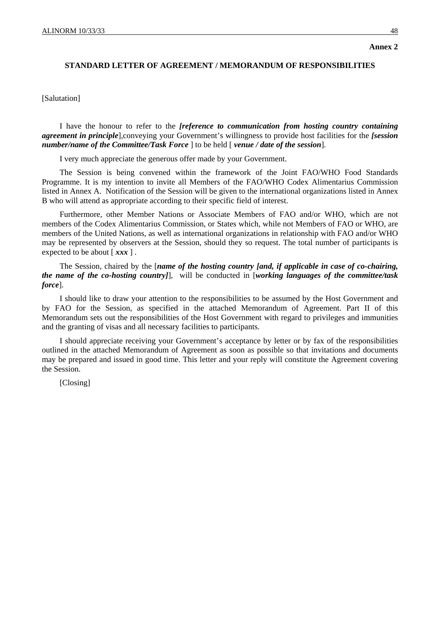**Annex 2** 

#### **STANDARD LETTER OF AGREEMENT / MEMORANDUM OF RESPONSIBILITIES**

#### [Salutation]

 I have the honour to refer to the *[reference to communication from hosting country containing agreement in principle*],conveying your Government's willingness to provide host facilities for the *[session number/name of the Committee/Task Force* ] to be held [ *venue / date of the session*].

I very much appreciate the generous offer made by your Government.

 The Session is being convened within the framework of the Joint FAO/WHO Food Standards Programme. It is my intention to invite all Members of the FAO/WHO Codex Alimentarius Commission listed in Annex A. Notification of the Session will be given to the international organizations listed in Annex B who will attend as appropriate according to their specific field of interest.

 Furthermore, other Member Nations or Associate Members of FAO and/or WHO, which are not members of the Codex Alimentarius Commission, or States which, while not Members of FAO or WHO, are members of the United Nations, as well as international organizations in relationship with FAO and/or WHO may be represented by observers at the Session, should they so request. The total number of participants is expected to be about [ *xxx* ] .

 The Session, chaired by the [*name of the hosting country [and, if applicable in case of co-chairing, the name of the co-hosting country]*], will be conducted in [*working languages of the committee/task force*].

 I should like to draw your attention to the responsibilities to be assumed by the Host Government and by FAO for the Session, as specified in the attached Memorandum of Agreement. Part II of this Memorandum sets out the responsibilities of the Host Government with regard to privileges and immunities and the granting of visas and all necessary facilities to participants.

 I should appreciate receiving your Government's acceptance by letter or by fax of the responsibilities outlined in the attached Memorandum of Agreement as soon as possible so that invitations and documents may be prepared and issued in good time. This letter and your reply will constitute the Agreement covering the Session.

[Closing]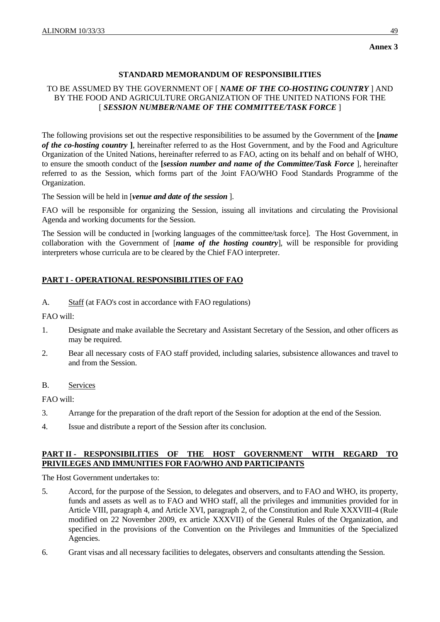## **Annex 3**

# **STANDARD MEMORANDUM OF RESPONSIBILITIES**

## TO BE ASSUMED BY THE GOVERNMENT OF [ *NAME OF THE CO-HOSTING COUNTRY* ] AND BY THE FOOD AND AGRICULTURE ORGANIZATION OF THE UNITED NATIONS FOR THE [ *SESSION NUMBER/NAME OF THE COMMITTEE/TASK FORCE* ]

The following provisions set out the respective responsibilities to be assumed by the Government of the **[***name of the co-hosting country* **]**, hereinafter referred to as the Host Government, and by the Food and Agriculture Organization of the United Nations, hereinafter referred to as FAO, acting on its behalf and on behalf of WHO, to ensure the smooth conduct of the **[***session number and name of the Committee/Task Force* ], hereinafter referred to as the Session, which forms part of the Joint FAO/WHO Food Standards Programme of the Organization.

The Session will be held in [*venue and date of the session* ].

FAO will be responsible for organizing the Session, issuing all invitations and circulating the Provisional Agenda and working documents for the Session.

The Session will be conducted in [working languages of the committee/task force]. The Host Government, in collaboration with the Government of [*name of the hosting country*], will be responsible for providing interpreters whose curricula are to be cleared by the Chief FAO interpreter.

# **PART I - OPERATIONAL RESPONSIBILITIES OF FAO**

A. Staff (at FAO's cost in accordance with FAO regulations)

FAO will:

- 1. Designate and make available the Secretary and Assistant Secretary of the Session, and other officers as may be required.
- 2. Bear all necessary costs of FAO staff provided, including salaries, subsistence allowances and travel to and from the Session.

### B. Services

FAO will:

- 3. Arrange for the preparation of the draft report of the Session for adoption at the end of the Session.
- 4. Issue and distribute a report of the Session after its conclusion.

## **PART II - RESPONSIBILITIES OF THE HOST GOVERNMENT WITH REGARD TO PRIVILEGES AND IMMUNITIES FOR FAO/WHO AND PARTICIPANTS**

The Host Government undertakes to:

- 5. Accord, for the purpose of the Session, to delegates and observers, and to FAO and WHO, its property, funds and assets as well as to FAO and WHO staff, all the privileges and immunities provided for in Article VIII, paragraph 4, and Article XVI, paragraph 2, of the Constitution and Rule XXXVIII-4 (Rule modified on 22 November 2009, ex article XXXVII) of the General Rules of the Organization, and specified in the provisions of the Convention on the Privileges and Immunities of the Specialized Agencies.
- 6. Grant visas and all necessary facilities to delegates, observers and consultants attending the Session.